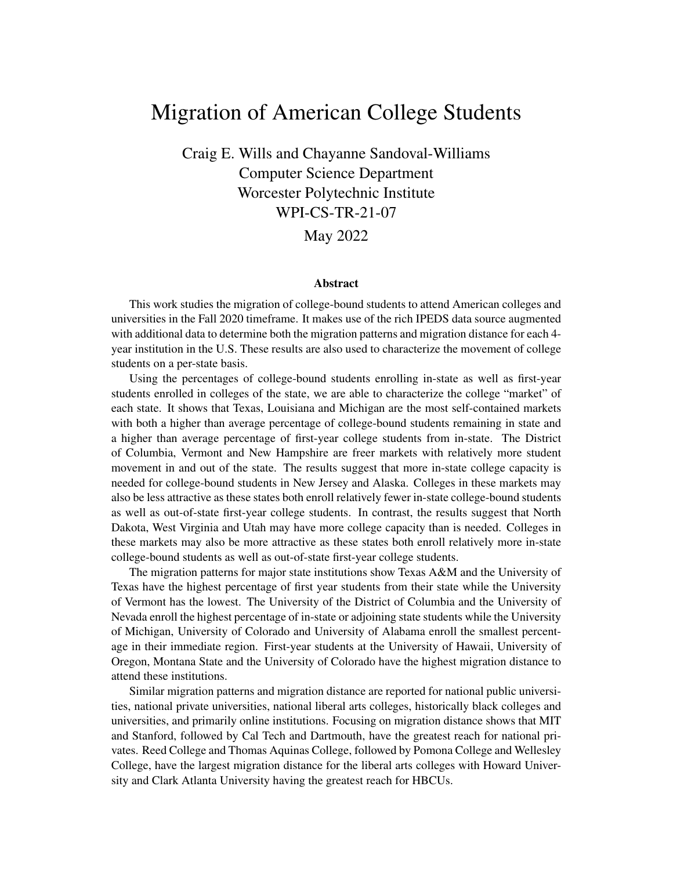# Migration of American College Students

Craig E. Wills and Chayanne Sandoval-Williams Computer Science Department Worcester Polytechnic Institute WPI-CS-TR-21-07 May 2022

#### Abstract

This work studies the migration of college-bound students to attend American colleges and universities in the Fall 2020 timeframe. It makes use of the rich IPEDS data source augmented with additional data to determine both the migration patterns and migration distance for each 4 year institution in the U.S. These results are also used to characterize the movement of college students on a per-state basis.

Using the percentages of college-bound students enrolling in-state as well as first-year students enrolled in colleges of the state, we are able to characterize the college "market" of each state. It shows that Texas, Louisiana and Michigan are the most self-contained markets with both a higher than average percentage of college-bound students remaining in state and a higher than average percentage of first-year college students from in-state. The District of Columbia, Vermont and New Hampshire are freer markets with relatively more student movement in and out of the state. The results suggest that more in-state college capacity is needed for college-bound students in New Jersey and Alaska. Colleges in these markets may also be less attractive as these states both enroll relatively fewer in-state college-bound students as well as out-of-state first-year college students. In contrast, the results suggest that North Dakota, West Virginia and Utah may have more college capacity than is needed. Colleges in these markets may also be more attractive as these states both enroll relatively more in-state college-bound students as well as out-of-state first-year college students.

The migration patterns for major state institutions show Texas A&M and the University of Texas have the highest percentage of first year students from their state while the University of Vermont has the lowest. The University of the District of Columbia and the University of Nevada enroll the highest percentage of in-state or adjoining state students while the University of Michigan, University of Colorado and University of Alabama enroll the smallest percentage in their immediate region. First-year students at the University of Hawaii, University of Oregon, Montana State and the University of Colorado have the highest migration distance to attend these institutions.

Similar migration patterns and migration distance are reported for national public universities, national private universities, national liberal arts colleges, historically black colleges and universities, and primarily online institutions. Focusing on migration distance shows that MIT and Stanford, followed by Cal Tech and Dartmouth, have the greatest reach for national privates. Reed College and Thomas Aquinas College, followed by Pomona College and Wellesley College, have the largest migration distance for the liberal arts colleges with Howard University and Clark Atlanta University having the greatest reach for HBCUs.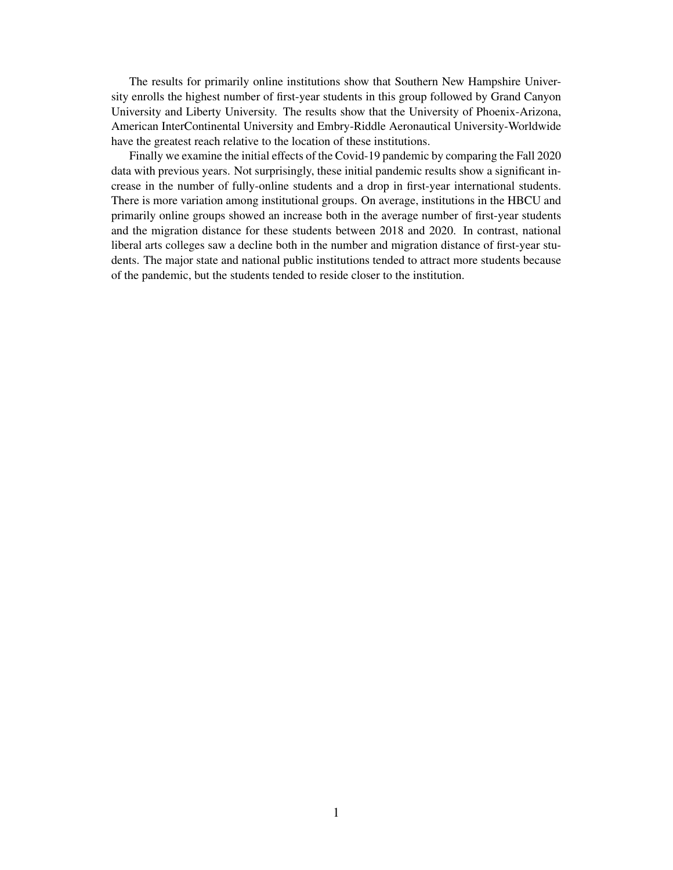The results for primarily online institutions show that Southern New Hampshire University enrolls the highest number of first-year students in this group followed by Grand Canyon University and Liberty University. The results show that the University of Phoenix-Arizona, American InterContinental University and Embry-Riddle Aeronautical University-Worldwide have the greatest reach relative to the location of these institutions.

Finally we examine the initial effects of the Covid-19 pandemic by comparing the Fall 2020 data with previous years. Not surprisingly, these initial pandemic results show a significant increase in the number of fully-online students and a drop in first-year international students. There is more variation among institutional groups. On average, institutions in the HBCU and primarily online groups showed an increase both in the average number of first-year students and the migration distance for these students between 2018 and 2020. In contrast, national liberal arts colleges saw a decline both in the number and migration distance of first-year students. The major state and national public institutions tended to attract more students because of the pandemic, but the students tended to reside closer to the institution.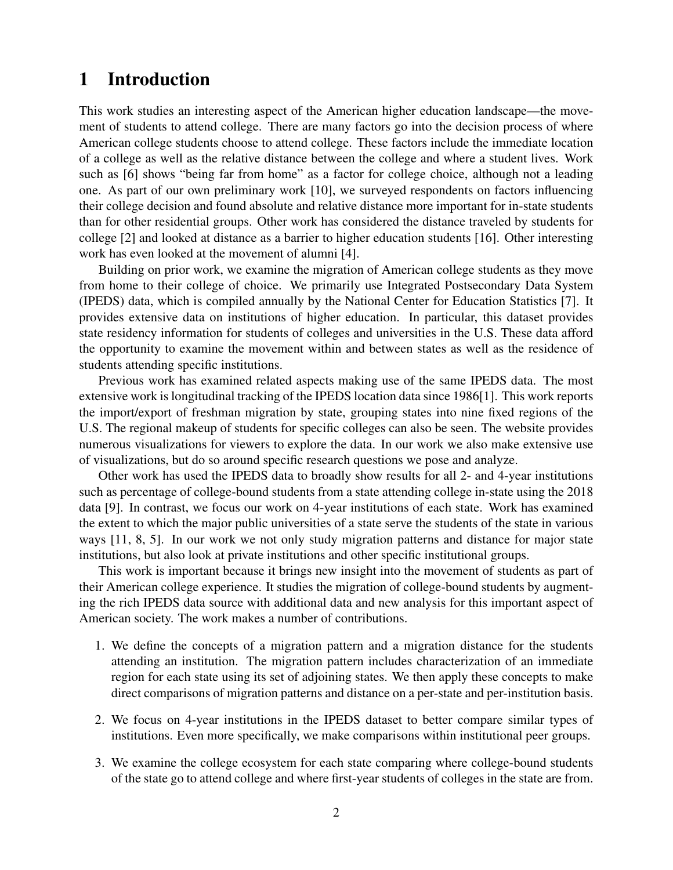### 1 Introduction

This work studies an interesting aspect of the American higher education landscape—the movement of students to attend college. There are many factors go into the decision process of where American college students choose to attend college. These factors include the immediate location of a college as well as the relative distance between the college and where a student lives. Work such as [6] shows "being far from home" as a factor for college choice, although not a leading one. As part of our own preliminary work [10], we surveyed respondents on factors influencing their college decision and found absolute and relative distance more important for in-state students than for other residential groups. Other work has considered the distance traveled by students for college [2] and looked at distance as a barrier to higher education students [16]. Other interesting work has even looked at the movement of alumni [4].

Building on prior work, we examine the migration of American college students as they move from home to their college of choice. We primarily use Integrated Postsecondary Data System (IPEDS) data, which is compiled annually by the National Center for Education Statistics [7]. It provides extensive data on institutions of higher education. In particular, this dataset provides state residency information for students of colleges and universities in the U.S. These data afford the opportunity to examine the movement within and between states as well as the residence of students attending specific institutions.

Previous work has examined related aspects making use of the same IPEDS data. The most extensive work is longitudinal tracking of the IPEDS location data since 1986[1]. This work reports the import/export of freshman migration by state, grouping states into nine fixed regions of the U.S. The regional makeup of students for specific colleges can also be seen. The website provides numerous visualizations for viewers to explore the data. In our work we also make extensive use of visualizations, but do so around specific research questions we pose and analyze.

Other work has used the IPEDS data to broadly show results for all 2- and 4-year institutions such as percentage of college-bound students from a state attending college in-state using the 2018 data [9]. In contrast, we focus our work on 4-year institutions of each state. Work has examined the extent to which the major public universities of a state serve the students of the state in various ways [11, 8, 5]. In our work we not only study migration patterns and distance for major state institutions, but also look at private institutions and other specific institutional groups.

This work is important because it brings new insight into the movement of students as part of their American college experience. It studies the migration of college-bound students by augmenting the rich IPEDS data source with additional data and new analysis for this important aspect of American society. The work makes a number of contributions.

- 1. We define the concepts of a migration pattern and a migration distance for the students attending an institution. The migration pattern includes characterization of an immediate region for each state using its set of adjoining states. We then apply these concepts to make direct comparisons of migration patterns and distance on a per-state and per-institution basis.
- 2. We focus on 4-year institutions in the IPEDS dataset to better compare similar types of institutions. Even more specifically, we make comparisons within institutional peer groups.
- 3. We examine the college ecosystem for each state comparing where college-bound students of the state go to attend college and where first-year students of colleges in the state are from.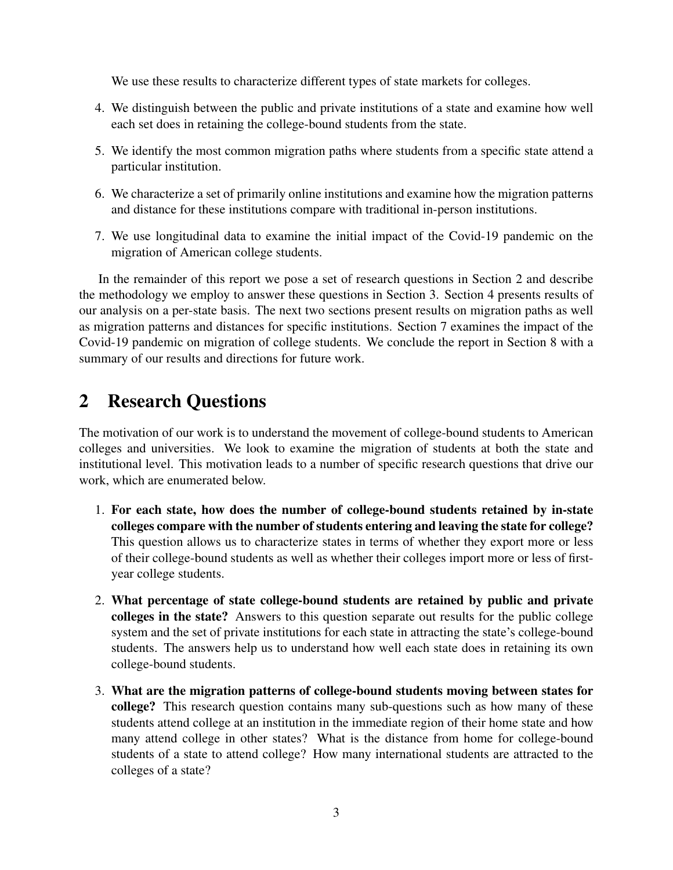We use these results to characterize different types of state markets for colleges.

- 4. We distinguish between the public and private institutions of a state and examine how well each set does in retaining the college-bound students from the state.
- 5. We identify the most common migration paths where students from a specific state attend a particular institution.
- 6. We characterize a set of primarily online institutions and examine how the migration patterns and distance for these institutions compare with traditional in-person institutions.
- 7. We use longitudinal data to examine the initial impact of the Covid-19 pandemic on the migration of American college students.

In the remainder of this report we pose a set of research questions in Section 2 and describe the methodology we employ to answer these questions in Section 3. Section 4 presents results of our analysis on a per-state basis. The next two sections present results on migration paths as well as migration patterns and distances for specific institutions. Section 7 examines the impact of the Covid-19 pandemic on migration of college students. We conclude the report in Section 8 with a summary of our results and directions for future work.

## 2 Research Questions

The motivation of our work is to understand the movement of college-bound students to American colleges and universities. We look to examine the migration of students at both the state and institutional level. This motivation leads to a number of specific research questions that drive our work, which are enumerated below.

- 1. For each state, how does the number of college-bound students retained by in-state colleges compare with the number of students entering and leaving the state for college? This question allows us to characterize states in terms of whether they export more or less of their college-bound students as well as whether their colleges import more or less of firstyear college students.
- 2. What percentage of state college-bound students are retained by public and private colleges in the state? Answers to this question separate out results for the public college system and the set of private institutions for each state in attracting the state's college-bound students. The answers help us to understand how well each state does in retaining its own college-bound students.
- 3. What are the migration patterns of college-bound students moving between states for college? This research question contains many sub-questions such as how many of these students attend college at an institution in the immediate region of their home state and how many attend college in other states? What is the distance from home for college-bound students of a state to attend college? How many international students are attracted to the colleges of a state?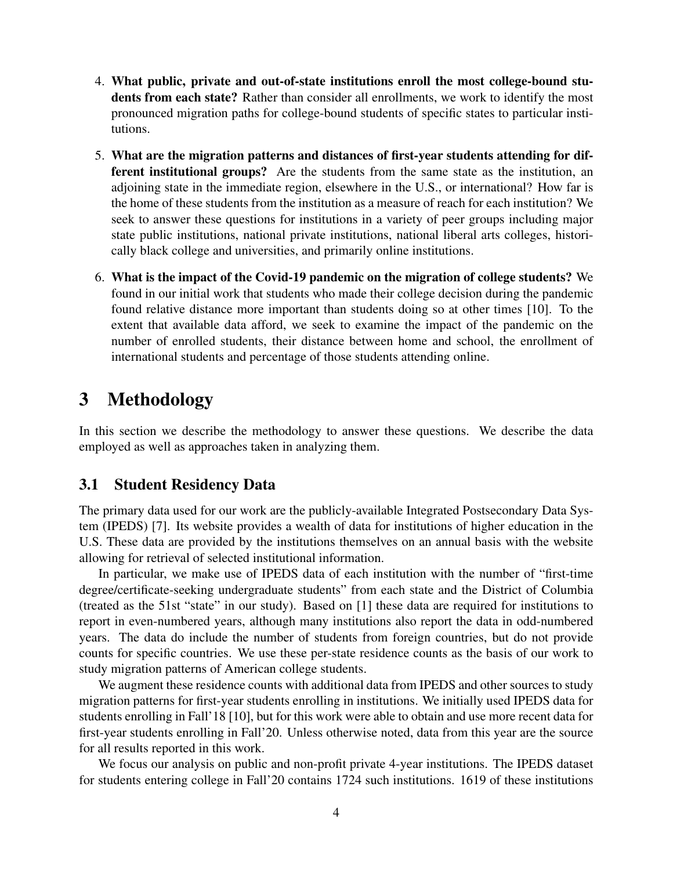- 4. What public, private and out-of-state institutions enroll the most college-bound students from each state? Rather than consider all enrollments, we work to identify the most pronounced migration paths for college-bound students of specific states to particular institutions.
- 5. What are the migration patterns and distances of first-year students attending for different institutional groups? Are the students from the same state as the institution, an adjoining state in the immediate region, elsewhere in the U.S., or international? How far is the home of these students from the institution as a measure of reach for each institution? We seek to answer these questions for institutions in a variety of peer groups including major state public institutions, national private institutions, national liberal arts colleges, historically black college and universities, and primarily online institutions.
- 6. What is the impact of the Covid-19 pandemic on the migration of college students? We found in our initial work that students who made their college decision during the pandemic found relative distance more important than students doing so at other times [10]. To the extent that available data afford, we seek to examine the impact of the pandemic on the number of enrolled students, their distance between home and school, the enrollment of international students and percentage of those students attending online.

## 3 Methodology

In this section we describe the methodology to answer these questions. We describe the data employed as well as approaches taken in analyzing them.

### 3.1 Student Residency Data

The primary data used for our work are the publicly-available Integrated Postsecondary Data System (IPEDS) [7]. Its website provides a wealth of data for institutions of higher education in the U.S. These data are provided by the institutions themselves on an annual basis with the website allowing for retrieval of selected institutional information.

In particular, we make use of IPEDS data of each institution with the number of "first-time degree/certificate-seeking undergraduate students" from each state and the District of Columbia (treated as the 51st "state" in our study). Based on [1] these data are required for institutions to report in even-numbered years, although many institutions also report the data in odd-numbered years. The data do include the number of students from foreign countries, but do not provide counts for specific countries. We use these per-state residence counts as the basis of our work to study migration patterns of American college students.

We augment these residence counts with additional data from IPEDS and other sources to study migration patterns for first-year students enrolling in institutions. We initially used IPEDS data for students enrolling in Fall'18 [10], but for this work were able to obtain and use more recent data for first-year students enrolling in Fall'20. Unless otherwise noted, data from this year are the source for all results reported in this work.

We focus our analysis on public and non-profit private 4-year institutions. The IPEDS dataset for students entering college in Fall'20 contains 1724 such institutions. 1619 of these institutions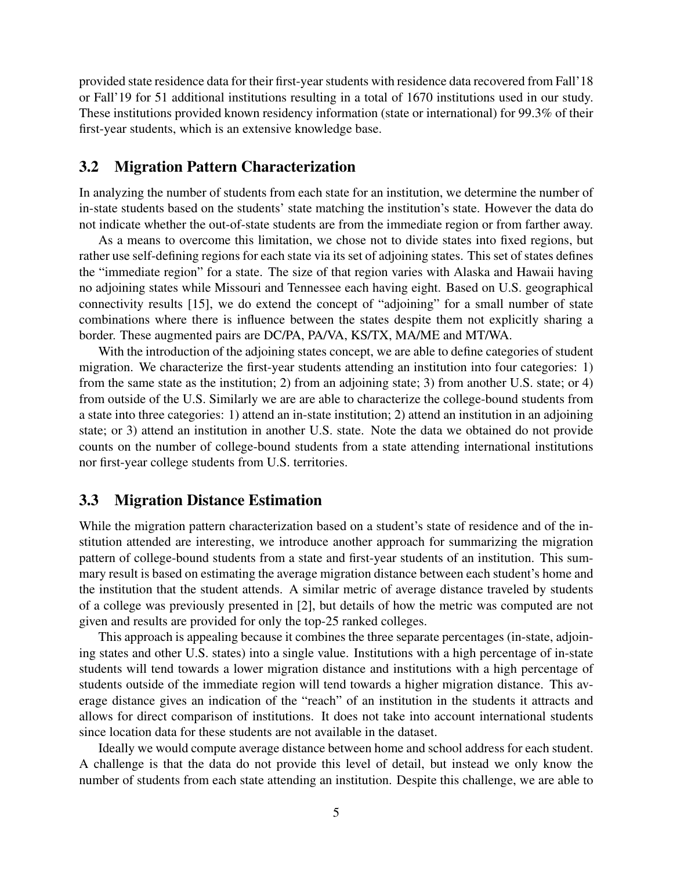provided state residence data for their first-year students with residence data recovered from Fall'18 or Fall'19 for 51 additional institutions resulting in a total of 1670 institutions used in our study. These institutions provided known residency information (state or international) for 99.3% of their first-year students, which is an extensive knowledge base.

#### 3.2 Migration Pattern Characterization

In analyzing the number of students from each state for an institution, we determine the number of in-state students based on the students' state matching the institution's state. However the data do not indicate whether the out-of-state students are from the immediate region or from farther away.

As a means to overcome this limitation, we chose not to divide states into fixed regions, but rather use self-defining regions for each state via its set of adjoining states. This set of states defines the "immediate region" for a state. The size of that region varies with Alaska and Hawaii having no adjoining states while Missouri and Tennessee each having eight. Based on U.S. geographical connectivity results [15], we do extend the concept of "adjoining" for a small number of state combinations where there is influence between the states despite them not explicitly sharing a border. These augmented pairs are DC/PA, PA/VA, KS/TX, MA/ME and MT/WA.

With the introduction of the adjoining states concept, we are able to define categories of student migration. We characterize the first-year students attending an institution into four categories: 1) from the same state as the institution; 2) from an adjoining state; 3) from another U.S. state; or 4) from outside of the U.S. Similarly we are are able to characterize the college-bound students from a state into three categories: 1) attend an in-state institution; 2) attend an institution in an adjoining state; or 3) attend an institution in another U.S. state. Note the data we obtained do not provide counts on the number of college-bound students from a state attending international institutions nor first-year college students from U.S. territories.

#### 3.3 Migration Distance Estimation

While the migration pattern characterization based on a student's state of residence and of the institution attended are interesting, we introduce another approach for summarizing the migration pattern of college-bound students from a state and first-year students of an institution. This summary result is based on estimating the average migration distance between each student's home and the institution that the student attends. A similar metric of average distance traveled by students of a college was previously presented in [2], but details of how the metric was computed are not given and results are provided for only the top-25 ranked colleges.

This approach is appealing because it combines the three separate percentages (in-state, adjoining states and other U.S. states) into a single value. Institutions with a high percentage of in-state students will tend towards a lower migration distance and institutions with a high percentage of students outside of the immediate region will tend towards a higher migration distance. This average distance gives an indication of the "reach" of an institution in the students it attracts and allows for direct comparison of institutions. It does not take into account international students since location data for these students are not available in the dataset.

Ideally we would compute average distance between home and school address for each student. A challenge is that the data do not provide this level of detail, but instead we only know the number of students from each state attending an institution. Despite this challenge, we are able to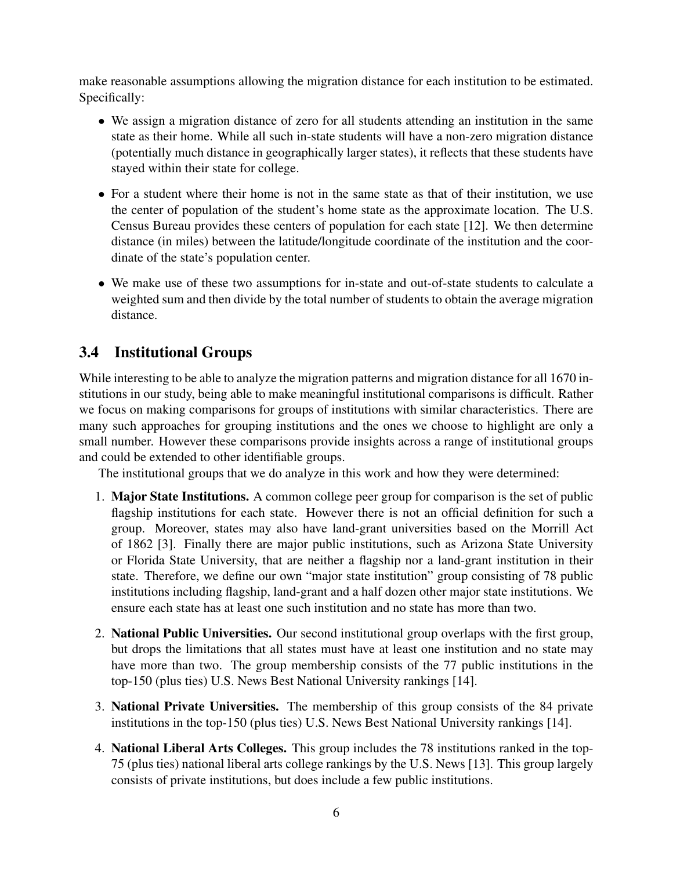make reasonable assumptions allowing the migration distance for each institution to be estimated. Specifically:

- We assign a migration distance of zero for all students attending an institution in the same state as their home. While all such in-state students will have a non-zero migration distance (potentially much distance in geographically larger states), it reflects that these students have stayed within their state for college.
- For a student where their home is not in the same state as that of their institution, we use the center of population of the student's home state as the approximate location. The U.S. Census Bureau provides these centers of population for each state [12]. We then determine distance (in miles) between the latitude/longitude coordinate of the institution and the coordinate of the state's population center.
- We make use of these two assumptions for in-state and out-of-state students to calculate a weighted sum and then divide by the total number of students to obtain the average migration distance.

## 3.4 Institutional Groups

While interesting to be able to analyze the migration patterns and migration distance for all 1670 institutions in our study, being able to make meaningful institutional comparisons is difficult. Rather we focus on making comparisons for groups of institutions with similar characteristics. There are many such approaches for grouping institutions and the ones we choose to highlight are only a small number. However these comparisons provide insights across a range of institutional groups and could be extended to other identifiable groups.

The institutional groups that we do analyze in this work and how they were determined:

- 1. Major State Institutions. A common college peer group for comparison is the set of public flagship institutions for each state. However there is not an official definition for such a group. Moreover, states may also have land-grant universities based on the Morrill Act of 1862 [3]. Finally there are major public institutions, such as Arizona State University or Florida State University, that are neither a flagship nor a land-grant institution in their state. Therefore, we define our own "major state institution" group consisting of 78 public institutions including flagship, land-grant and a half dozen other major state institutions. We ensure each state has at least one such institution and no state has more than two.
- 2. National Public Universities. Our second institutional group overlaps with the first group, but drops the limitations that all states must have at least one institution and no state may have more than two. The group membership consists of the 77 public institutions in the top-150 (plus ties) U.S. News Best National University rankings [14].
- 3. National Private Universities. The membership of this group consists of the 84 private institutions in the top-150 (plus ties) U.S. News Best National University rankings [14].
- 4. National Liberal Arts Colleges. This group includes the 78 institutions ranked in the top-75 (plus ties) national liberal arts college rankings by the U.S. News [13]. This group largely consists of private institutions, but does include a few public institutions.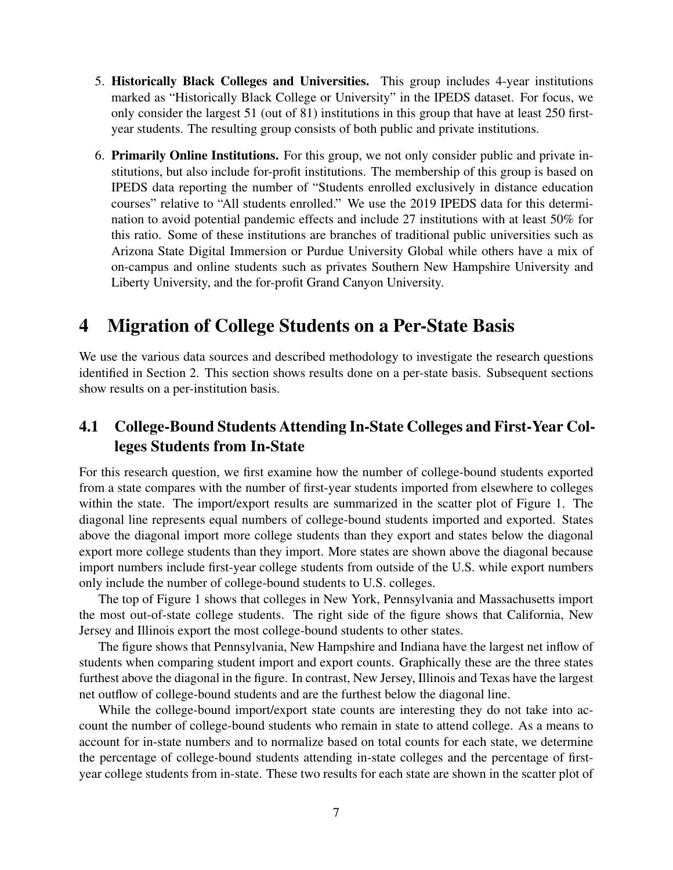- 5. Historically Black Colleges and Universities. This group includes 4-year institutions marked as "Historically Black College or University" in the IPEDS dataset. For focus, we only consider the largest 51 (out of 81) institutions in this group that have at least 250 firstyear students. The resulting group consists of both public and private institutions.
- 6. Primarily Online Institutions. For this group, we not only consider public and private institutions, but also include for-profit institutions. The membership of this group is based on IPEDS data reporting the number of "Students enrolled exclusively in distance education courses" relative to "All students enrolled." We use the 2019 IPEDS data for this determination to avoid potential pandemic effects and include 27 institutions with at least 50% for this ratio. Some of these institutions are branches of traditional public universities such as Arizona State Digital Immersion or Purdue University Global while others have a mix of on-campus and online students such as privates Southern New Hampshire University and Liberty University, and the for-profit Grand Canyon University.

## 4 Migration of College Students on a Per-State Basis

We use the various data sources and described methodology to investigate the research questions identified in Section 2. This section shows results done on a per-state basis. Subsequent sections show results on a per-institution basis.

### 4.1 College-Bound Students Attending In-State Colleges and First-Year Colleges Students from In-State

For this research question, we first examine how the number of college-bound students exported from a state compares with the number of first-year students imported from elsewhere to colleges within the state. The import/export results are summarized in the scatter plot of Figure 1. The diagonal line represents equal numbers of college-bound students imported and exported. States above the diagonal import more college students than they export and states below the diagonal export more college students than they import. More states are shown above the diagonal because import numbers include first-year college students from outside of the U.S. while export numbers only include the number of college-bound students to U.S. colleges.

The top of Figure 1 shows that colleges in New York, Pennsylvania and Massachusetts import the most out-of-state college students. The right side of the figure shows that California, New Jersey and Illinois export the most college-bound students to other states.

The figure shows that Pennsylvania, New Hampshire and Indiana have the largest net inflow of students when comparing student import and export counts. Graphically these are the three states furthest above the diagonal in the figure. In contrast, New Jersey, Illinois and Texas have the largest net outflow of college-bound students and are the furthest below the diagonal line.

While the college-bound import/export state counts are interesting they do not take into account the number of college-bound students who remain in state to attend college. As a means to account for in-state numbers and to normalize based on total counts for each state, we determine the percentage of college-bound students attending in-state colleges and the percentage of firstyear college students from in-state. These two results for each state are shown in the scatter plot of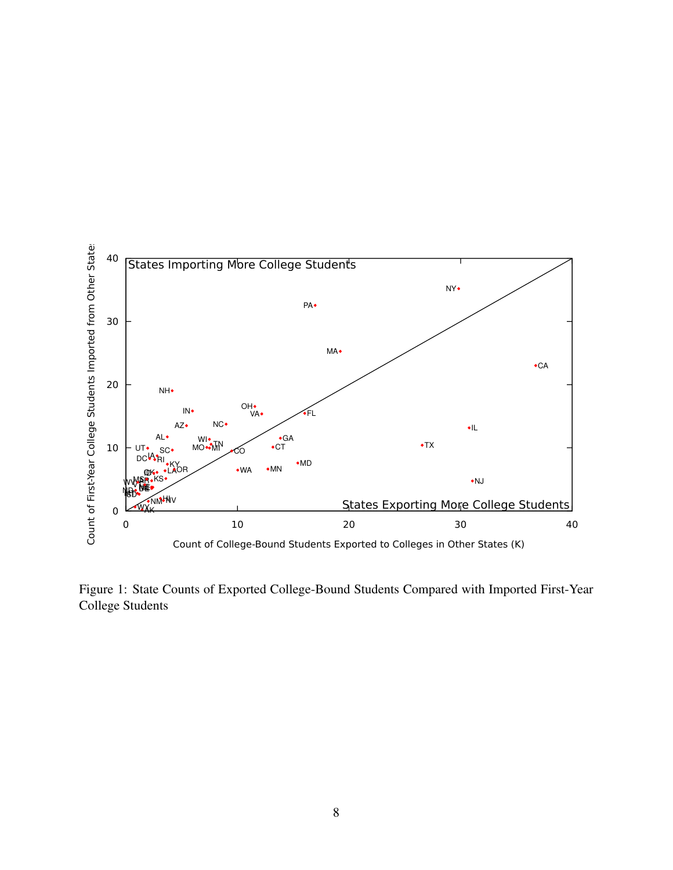

Figure 1: State Counts of Exported College-Bound Students Compared with Imported First-Year College Students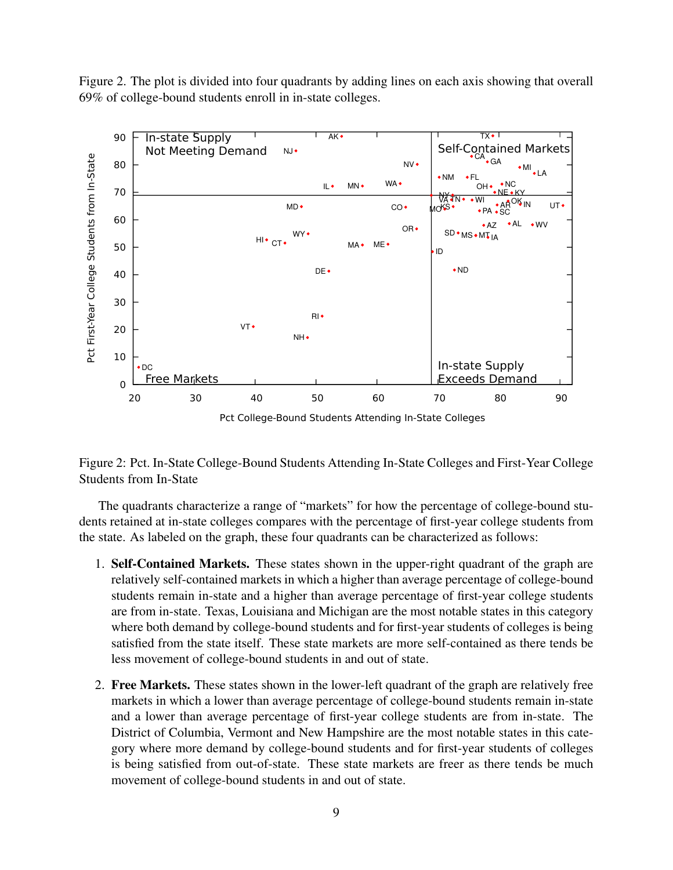Figure 2. The plot is divided into four quadrants by adding lines on each axis showing that overall 69% of college-bound students enroll in in-state colleges.



Figure 2: Pct. In-State College-Bound Students Attending In-State Colleges and First-Year College Students from In-State

The quadrants characterize a range of "markets" for how the percentage of college-bound students retained at in-state colleges compares with the percentage of first-year college students from the state. As labeled on the graph, these four quadrants can be characterized as follows:

- 1. Self-Contained Markets. These states shown in the upper-right quadrant of the graph are relatively self-contained markets in which a higher than average percentage of college-bound students remain in-state and a higher than average percentage of first-year college students are from in-state. Texas, Louisiana and Michigan are the most notable states in this category where both demand by college-bound students and for first-year students of colleges is being satisfied from the state itself. These state markets are more self-contained as there tends be less movement of college-bound students in and out of state.
- 2. Free Markets. These states shown in the lower-left quadrant of the graph are relatively free markets in which a lower than average percentage of college-bound students remain in-state and a lower than average percentage of first-year college students are from in-state. The District of Columbia, Vermont and New Hampshire are the most notable states in this category where more demand by college-bound students and for first-year students of colleges is being satisfied from out-of-state. These state markets are freer as there tends be much movement of college-bound students in and out of state.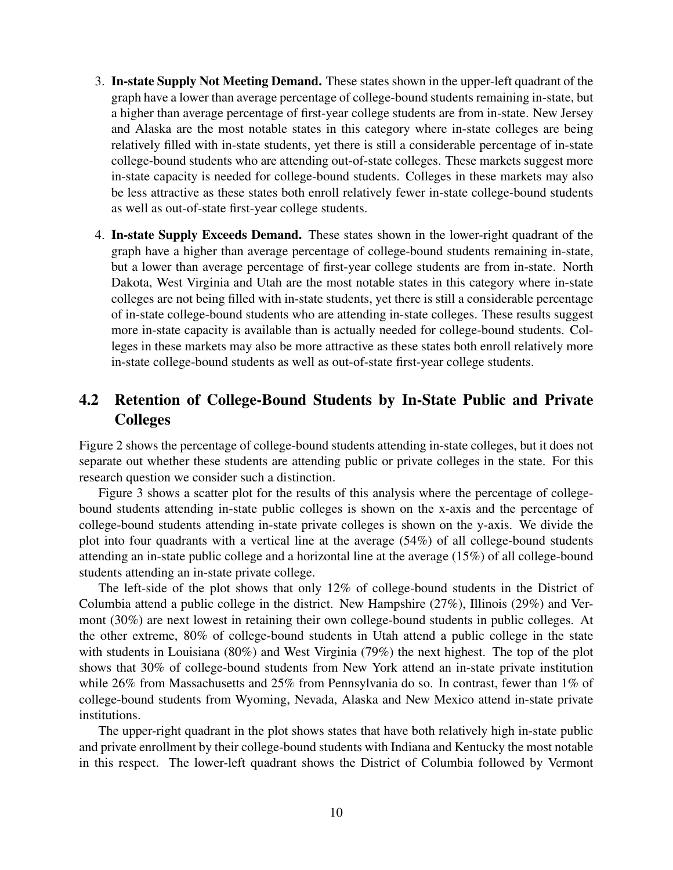- 3. In-state Supply Not Meeting Demand. These states shown in the upper-left quadrant of the graph have a lower than average percentage of college-bound students remaining in-state, but a higher than average percentage of first-year college students are from in-state. New Jersey and Alaska are the most notable states in this category where in-state colleges are being relatively filled with in-state students, yet there is still a considerable percentage of in-state college-bound students who are attending out-of-state colleges. These markets suggest more in-state capacity is needed for college-bound students. Colleges in these markets may also be less attractive as these states both enroll relatively fewer in-state college-bound students as well as out-of-state first-year college students.
- 4. In-state Supply Exceeds Demand. These states shown in the lower-right quadrant of the graph have a higher than average percentage of college-bound students remaining in-state, but a lower than average percentage of first-year college students are from in-state. North Dakota, West Virginia and Utah are the most notable states in this category where in-state colleges are not being filled with in-state students, yet there is still a considerable percentage of in-state college-bound students who are attending in-state colleges. These results suggest more in-state capacity is available than is actually needed for college-bound students. Colleges in these markets may also be more attractive as these states both enroll relatively more in-state college-bound students as well as out-of-state first-year college students.

### 4.2 Retention of College-Bound Students by In-State Public and Private **Colleges**

Figure 2 shows the percentage of college-bound students attending in-state colleges, but it does not separate out whether these students are attending public or private colleges in the state. For this research question we consider such a distinction.

Figure 3 shows a scatter plot for the results of this analysis where the percentage of collegebound students attending in-state public colleges is shown on the x-axis and the percentage of college-bound students attending in-state private colleges is shown on the y-axis. We divide the plot into four quadrants with a vertical line at the average (54%) of all college-bound students attending an in-state public college and a horizontal line at the average (15%) of all college-bound students attending an in-state private college.

The left-side of the plot shows that only 12% of college-bound students in the District of Columbia attend a public college in the district. New Hampshire (27%), Illinois (29%) and Vermont (30%) are next lowest in retaining their own college-bound students in public colleges. At the other extreme, 80% of college-bound students in Utah attend a public college in the state with students in Louisiana (80%) and West Virginia (79%) the next highest. The top of the plot shows that 30% of college-bound students from New York attend an in-state private institution while 26% from Massachusetts and 25% from Pennsylvania do so. In contrast, fewer than 1% of college-bound students from Wyoming, Nevada, Alaska and New Mexico attend in-state private institutions.

The upper-right quadrant in the plot shows states that have both relatively high in-state public and private enrollment by their college-bound students with Indiana and Kentucky the most notable in this respect. The lower-left quadrant shows the District of Columbia followed by Vermont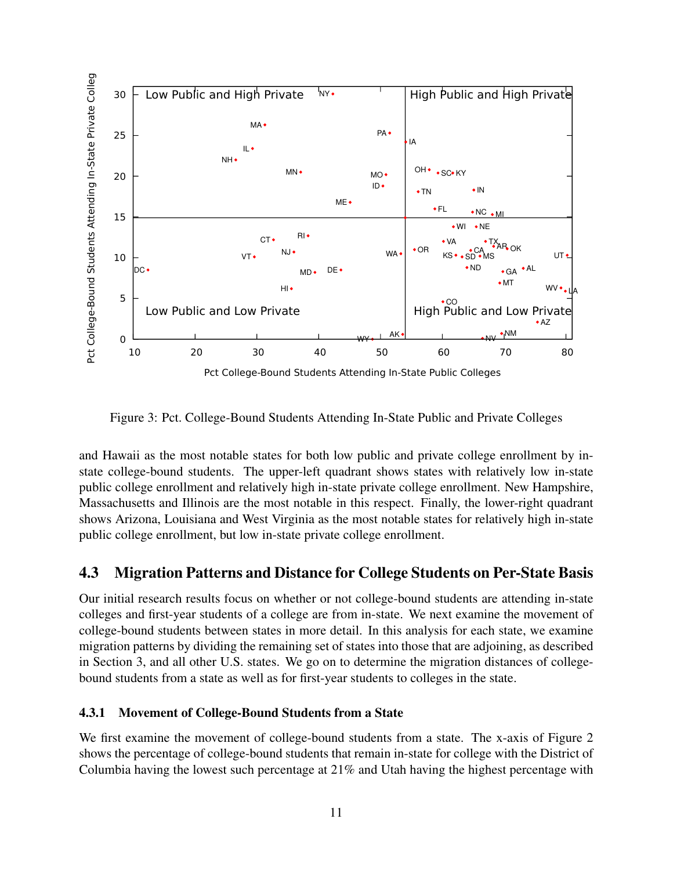

Figure 3: Pct. College-Bound Students Attending In-State Public and Private Colleges

and Hawaii as the most notable states for both low public and private college enrollment by instate college-bound students. The upper-left quadrant shows states with relatively low in-state public college enrollment and relatively high in-state private college enrollment. New Hampshire, Massachusetts and Illinois are the most notable in this respect. Finally, the lower-right quadrant shows Arizona, Louisiana and West Virginia as the most notable states for relatively high in-state public college enrollment, but low in-state private college enrollment.

### 4.3 Migration Patterns and Distance for College Students on Per-State Basis

Our initial research results focus on whether or not college-bound students are attending in-state colleges and first-year students of a college are from in-state. We next examine the movement of college-bound students between states in more detail. In this analysis for each state, we examine migration patterns by dividing the remaining set of states into those that are adjoining, as described in Section 3, and all other U.S. states. We go on to determine the migration distances of collegebound students from a state as well as for first-year students to colleges in the state.

### 4.3.1 Movement of College-Bound Students from a State

We first examine the movement of college-bound students from a state. The x-axis of Figure 2 shows the percentage of college-bound students that remain in-state for college with the District of Columbia having the lowest such percentage at 21% and Utah having the highest percentage with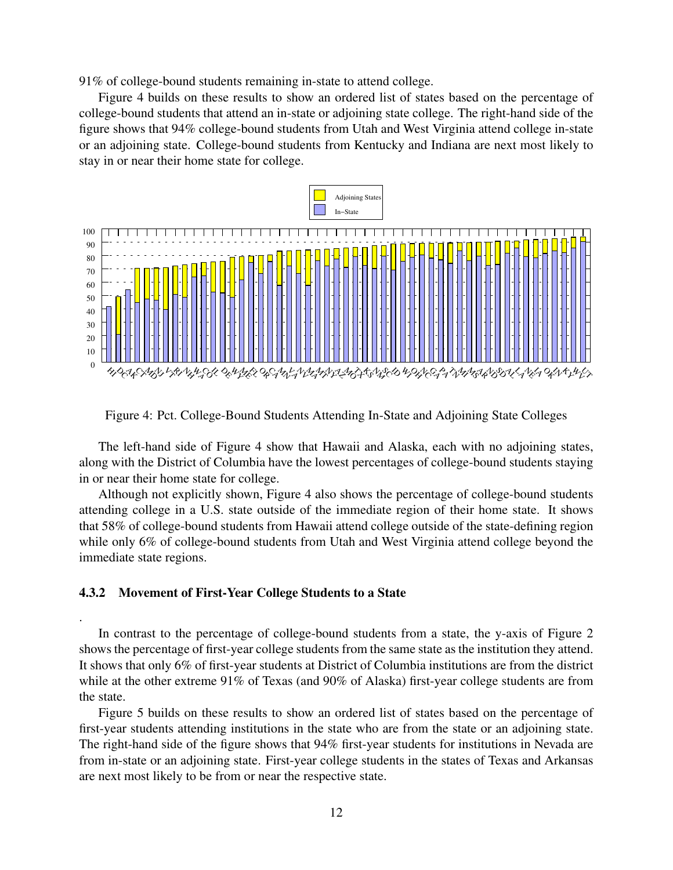91% of college-bound students remaining in-state to attend college.

Figure 4 builds on these results to show an ordered list of states based on the percentage of college-bound students that attend an in-state or adjoining state college. The right-hand side of the figure shows that 94% college-bound students from Utah and West Virginia attend college in-state or an adjoining state. College-bound students from Kentucky and Indiana are next most likely to stay in or near their home state for college.



Figure 4: Pct. College-Bound Students Attending In-State and Adjoining State Colleges

The left-hand side of Figure 4 show that Hawaii and Alaska, each with no adjoining states, along with the District of Columbia have the lowest percentages of college-bound students staying in or near their home state for college.

Although not explicitly shown, Figure 4 also shows the percentage of college-bound students attending college in a U.S. state outside of the immediate region of their home state. It shows that 58% of college-bound students from Hawaii attend college outside of the state-defining region while only 6% of college-bound students from Utah and West Virginia attend college beyond the immediate state regions.

#### 4.3.2 Movement of First-Year College Students to a State

.

In contrast to the percentage of college-bound students from a state, the y-axis of Figure 2 shows the percentage of first-year college students from the same state as the institution they attend. It shows that only 6% of first-year students at District of Columbia institutions are from the district while at the other extreme 91% of Texas (and 90% of Alaska) first-year college students are from the state.

Figure 5 builds on these results to show an ordered list of states based on the percentage of first-year students attending institutions in the state who are from the state or an adjoining state. The right-hand side of the figure shows that 94% first-year students for institutions in Nevada are from in-state or an adjoining state. First-year college students in the states of Texas and Arkansas are next most likely to be from or near the respective state.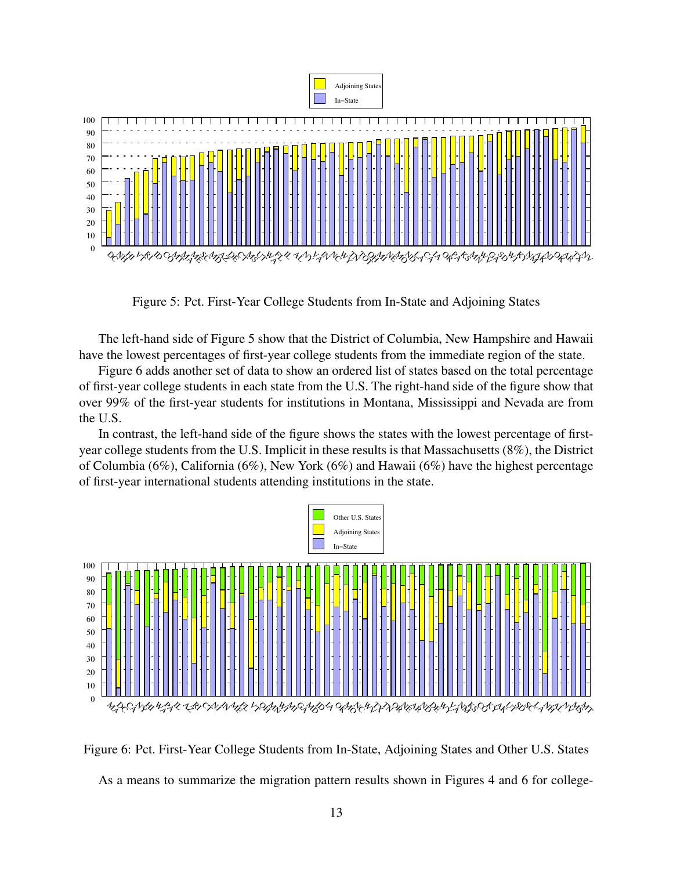

Figure 5: Pct. First-Year College Students from In-State and Adjoining States

The left-hand side of Figure 5 show that the District of Columbia, New Hampshire and Hawaii have the lowest percentages of first-year college students from the immediate region of the state.

Figure 6 adds another set of data to show an ordered list of states based on the total percentage of first-year college students in each state from the U.S. The right-hand side of the figure show that over 99% of the first-year students for institutions in Montana, Mississippi and Nevada are from the U.S.

In contrast, the left-hand side of the figure shows the states with the lowest percentage of firstyear college students from the U.S. Implicit in these results is that Massachusetts (8%), the District of Columbia (6%), California (6%), New York (6%) and Hawaii (6%) have the highest percentage of first-year international students attending institutions in the state.



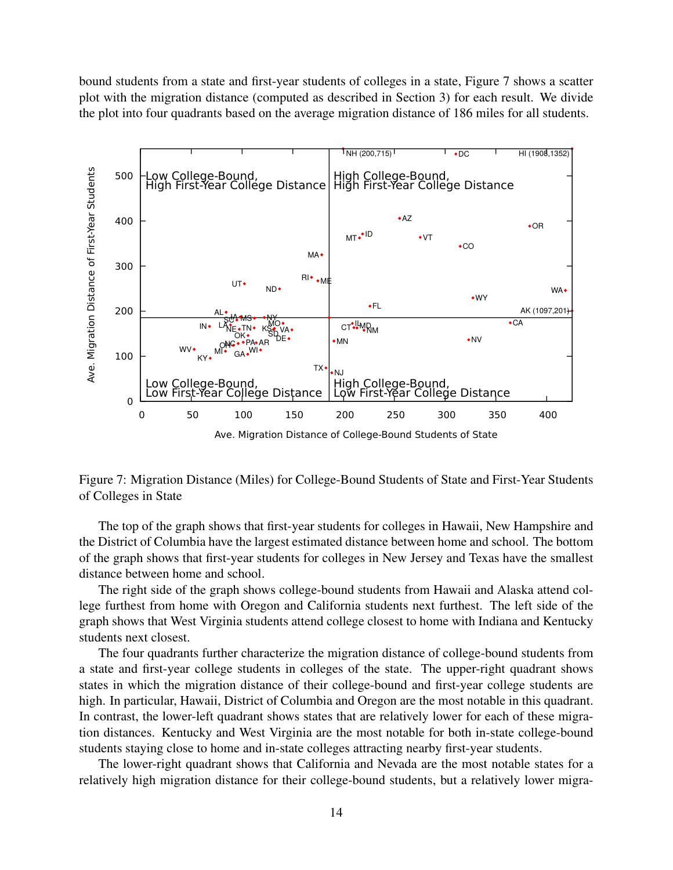bound students from a state and first-year students of colleges in a state, Figure 7 shows a scatter plot with the migration distance (computed as described in Section 3) for each result. We divide the plot into four quadrants based on the average migration distance of 186 miles for all students.



Figure 7: Migration Distance (Miles) for College-Bound Students of State and First-Year Students of Colleges in State

The top of the graph shows that first-year students for colleges in Hawaii, New Hampshire and the District of Columbia have the largest estimated distance between home and school. The bottom of the graph shows that first-year students for colleges in New Jersey and Texas have the smallest distance between home and school.

The right side of the graph shows college-bound students from Hawaii and Alaska attend college furthest from home with Oregon and California students next furthest. The left side of the graph shows that West Virginia students attend college closest to home with Indiana and Kentucky students next closest.

The four quadrants further characterize the migration distance of college-bound students from a state and first-year college students in colleges of the state. The upper-right quadrant shows states in which the migration distance of their college-bound and first-year college students are high. In particular, Hawaii, District of Columbia and Oregon are the most notable in this quadrant. In contrast, the lower-left quadrant shows states that are relatively lower for each of these migration distances. Kentucky and West Virginia are the most notable for both in-state college-bound students staying close to home and in-state colleges attracting nearby first-year students.

The lower-right quadrant shows that California and Nevada are the most notable states for a relatively high migration distance for their college-bound students, but a relatively lower migra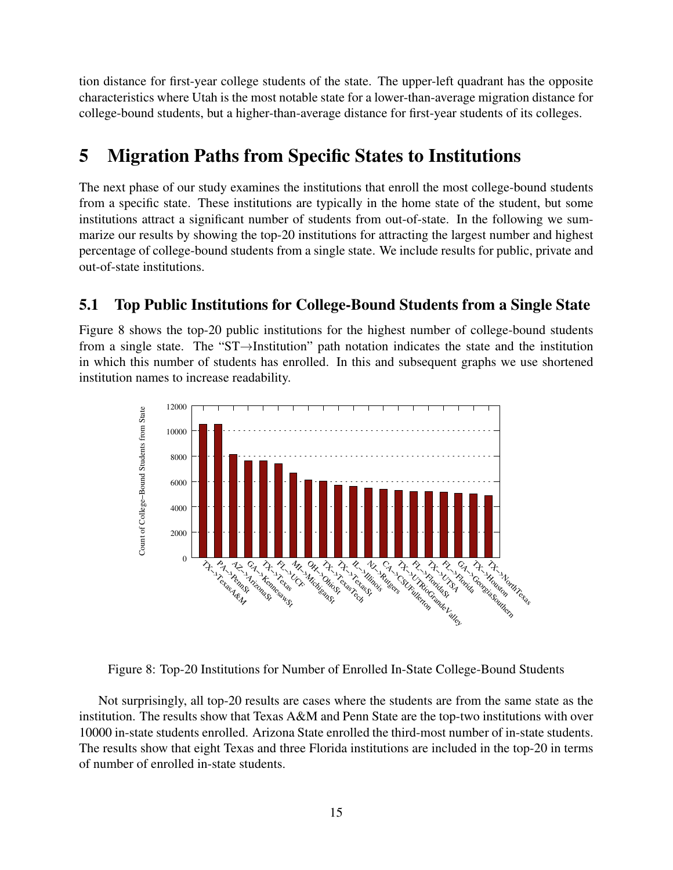tion distance for first-year college students of the state. The upper-left quadrant has the opposite characteristics where Utah is the most notable state for a lower-than-average migration distance for college-bound students, but a higher-than-average distance for first-year students of its colleges.

## 5 Migration Paths from Specific States to Institutions

The next phase of our study examines the institutions that enroll the most college-bound students from a specific state. These institutions are typically in the home state of the student, but some institutions attract a significant number of students from out-of-state. In the following we summarize our results by showing the top-20 institutions for attracting the largest number and highest percentage of college-bound students from a single state. We include results for public, private and out-of-state institutions.

### 5.1 Top Public Institutions for College-Bound Students from a Single State

Figure 8 shows the top-20 public institutions for the highest number of college-bound students from a single state. The "ST→Institution" path notation indicates the state and the institution in which this number of students has enrolled. In this and subsequent graphs we use shortened institution names to increase readability.



Figure 8: Top-20 Institutions for Number of Enrolled In-State College-Bound Students

Not surprisingly, all top-20 results are cases where the students are from the same state as the institution. The results show that Texas A&M and Penn State are the top-two institutions with over 10000 in-state students enrolled. Arizona State enrolled the third-most number of in-state students. The results show that eight Texas and three Florida institutions are included in the top-20 in terms of number of enrolled in-state students.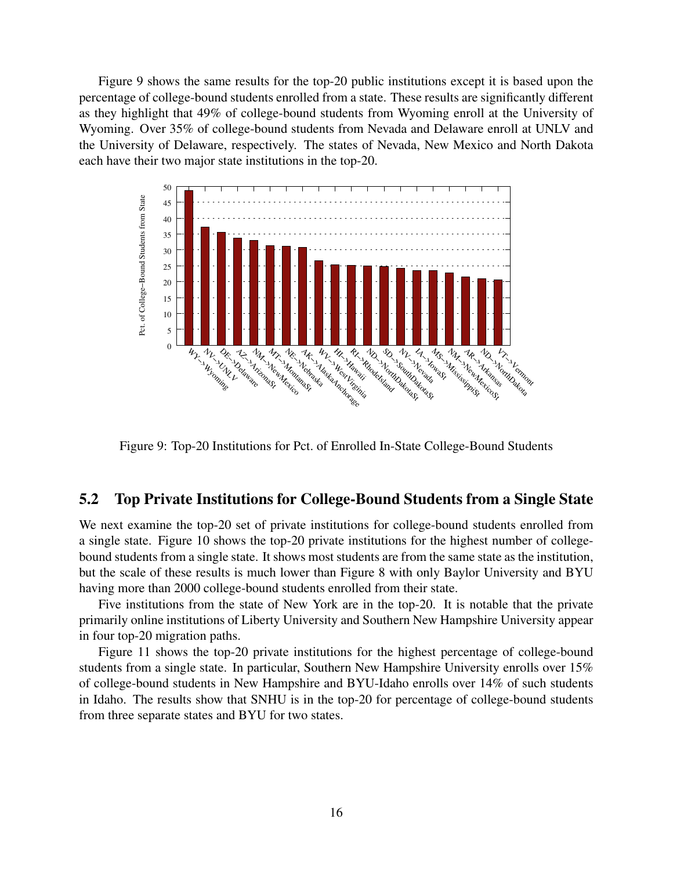Figure 9 shows the same results for the top-20 public institutions except it is based upon the percentage of college-bound students enrolled from a state. These results are significantly different as they highlight that 49% of college-bound students from Wyoming enroll at the University of Wyoming. Over 35% of college-bound students from Nevada and Delaware enroll at UNLV and the University of Delaware, respectively. The states of Nevada, New Mexico and North Dakota each have their two major state institutions in the top-20.



Figure 9: Top-20 Institutions for Pct. of Enrolled In-State College-Bound Students

#### 5.2 Top Private Institutions for College-Bound Students from a Single State

We next examine the top-20 set of private institutions for college-bound students enrolled from a single state. Figure 10 shows the top-20 private institutions for the highest number of collegebound students from a single state. It shows most students are from the same state as the institution, but the scale of these results is much lower than Figure 8 with only Baylor University and BYU having more than 2000 college-bound students enrolled from their state.

Five institutions from the state of New York are in the top-20. It is notable that the private primarily online institutions of Liberty University and Southern New Hampshire University appear in four top-20 migration paths.

Figure 11 shows the top-20 private institutions for the highest percentage of college-bound students from a single state. In particular, Southern New Hampshire University enrolls over 15% of college-bound students in New Hampshire and BYU-Idaho enrolls over 14% of such students in Idaho. The results show that SNHU is in the top-20 for percentage of college-bound students from three separate states and BYU for two states.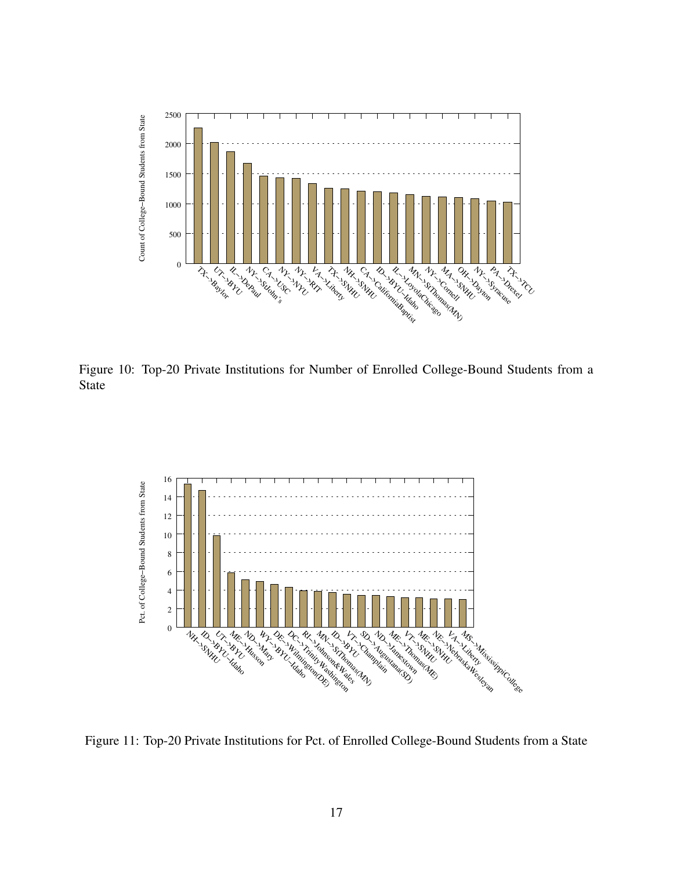

Figure 10: Top-20 Private Institutions for Number of Enrolled College-Bound Students from a State



Figure 11: Top-20 Private Institutions for Pct. of Enrolled College-Bound Students from a State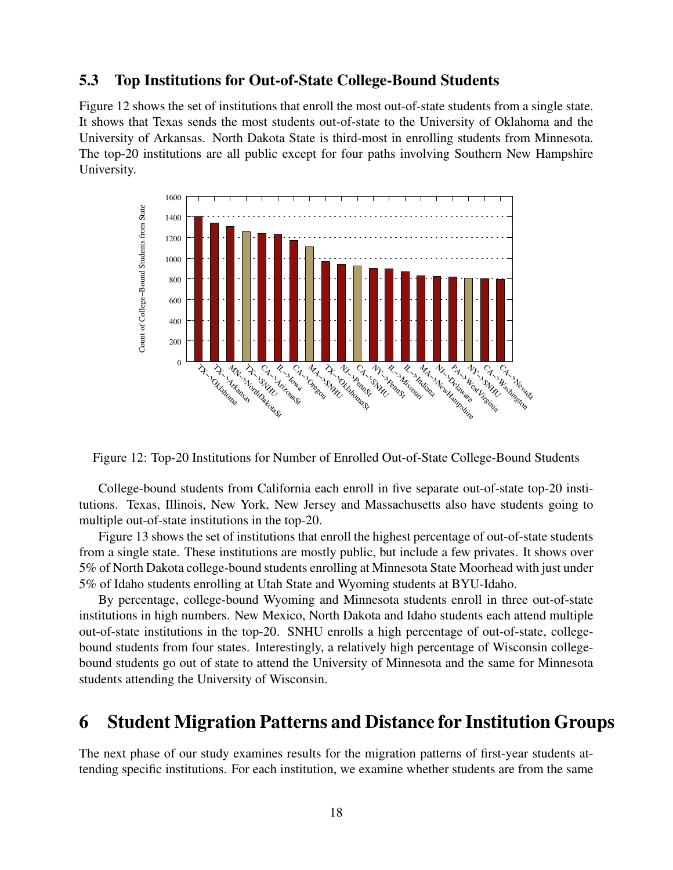### 5.3 Top Institutions for Out-of-State College-Bound Students

Figure 12 shows the set of institutions that enroll the most out-of-state students from a single state. It shows that Texas sends the most students out-of-state to the University of Oklahoma and the University of Arkansas. North Dakota State is third-most in enrolling students from Minnesota. The top-20 institutions are all public except for four paths involving Southern New Hampshire University.



Figure 12: Top-20 Institutions for Number of Enrolled Out-of-State College-Bound Students

College-bound students from California each enroll in five separate out-of-state top-20 institutions. Texas, Illinois, New York, New Jersey and Massachusetts also have students going to multiple out-of-state institutions in the top-20.

Figure 13 shows the set of institutions that enroll the highest percentage of out-of-state students from a single state. These institutions are mostly public, but include a few privates. It shows over 5% of North Dakota college-bound students enrolling at Minnesota State Moorhead with just under 5% of Idaho students enrolling at Utah State and Wyoming students at BYU-Idaho.

By percentage, college-bound Wyoming and Minnesota students enroll in three out-of-state institutions in high numbers. New Mexico, North Dakota and Idaho students each attend multiple out-of-state institutions in the top-20. SNHU enrolls a high percentage of out-of-state, collegebound students from four states. Interestingly, a relatively high percentage of Wisconsin collegebound students go out of state to attend the University of Minnesota and the same for Minnesota students attending the University of Wisconsin.

## 6 Student Migration Patterns and Distance for Institution Groups

The next phase of our study examines results for the migration patterns of first-year students attending specific institutions. For each institution, we examine whether students are from the same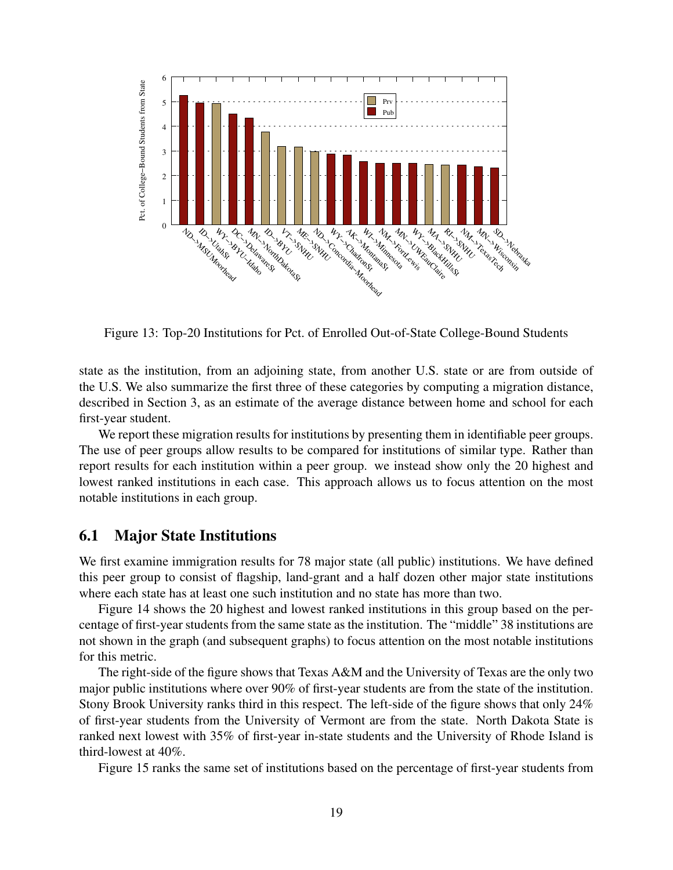

Figure 13: Top-20 Institutions for Pct. of Enrolled Out-of-State College-Bound Students

state as the institution, from an adjoining state, from another U.S. state or are from outside of the U.S. We also summarize the first three of these categories by computing a migration distance, described in Section 3, as an estimate of the average distance between home and school for each first-year student.

We report these migration results for institutions by presenting them in identifiable peer groups. The use of peer groups allow results to be compared for institutions of similar type. Rather than report results for each institution within a peer group. we instead show only the 20 highest and lowest ranked institutions in each case. This approach allows us to focus attention on the most notable institutions in each group.

#### 6.1 Major State Institutions

We first examine immigration results for 78 major state (all public) institutions. We have defined this peer group to consist of flagship, land-grant and a half dozen other major state institutions where each state has at least one such institution and no state has more than two.

Figure 14 shows the 20 highest and lowest ranked institutions in this group based on the percentage of first-year students from the same state as the institution. The "middle" 38 institutions are not shown in the graph (and subsequent graphs) to focus attention on the most notable institutions for this metric.

The right-side of the figure shows that Texas A&M and the University of Texas are the only two major public institutions where over 90% of first-year students are from the state of the institution. Stony Brook University ranks third in this respect. The left-side of the figure shows that only 24% of first-year students from the University of Vermont are from the state. North Dakota State is ranked next lowest with 35% of first-year in-state students and the University of Rhode Island is third-lowest at 40%.

Figure 15 ranks the same set of institutions based on the percentage of first-year students from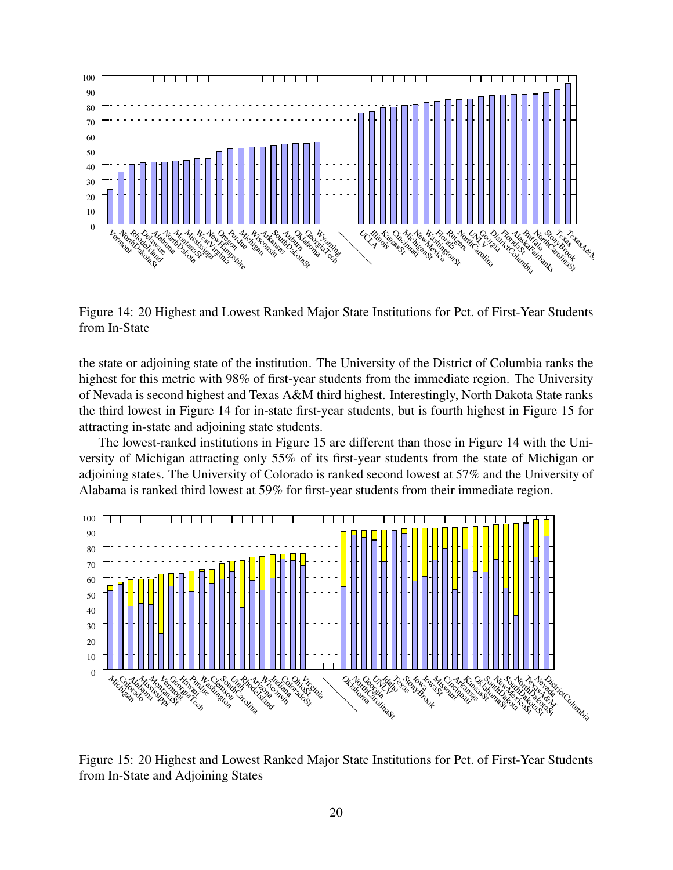

Figure 14: 20 Highest and Lowest Ranked Major State Institutions for Pct. of First-Year Students from In-State

the state or adjoining state of the institution. The University of the District of Columbia ranks the highest for this metric with 98% of first-year students from the immediate region. The University of Nevada is second highest and Texas A&M third highest. Interestingly, North Dakota State ranks the third lowest in Figure 14 for in-state first-year students, but is fourth highest in Figure 15 for attracting in-state and adjoining state students.

The lowest-ranked institutions in Figure 15 are different than those in Figure 14 with the University of Michigan attracting only 55% of its first-year students from the state of Michigan or adjoining states. The University of Colorado is ranked second lowest at 57% and the University of Alabama is ranked third lowest at 59% for first-year students from their immediate region.



Figure 15: 20 Highest and Lowest Ranked Major State Institutions for Pct. of First-Year Students from In-State and Adjoining States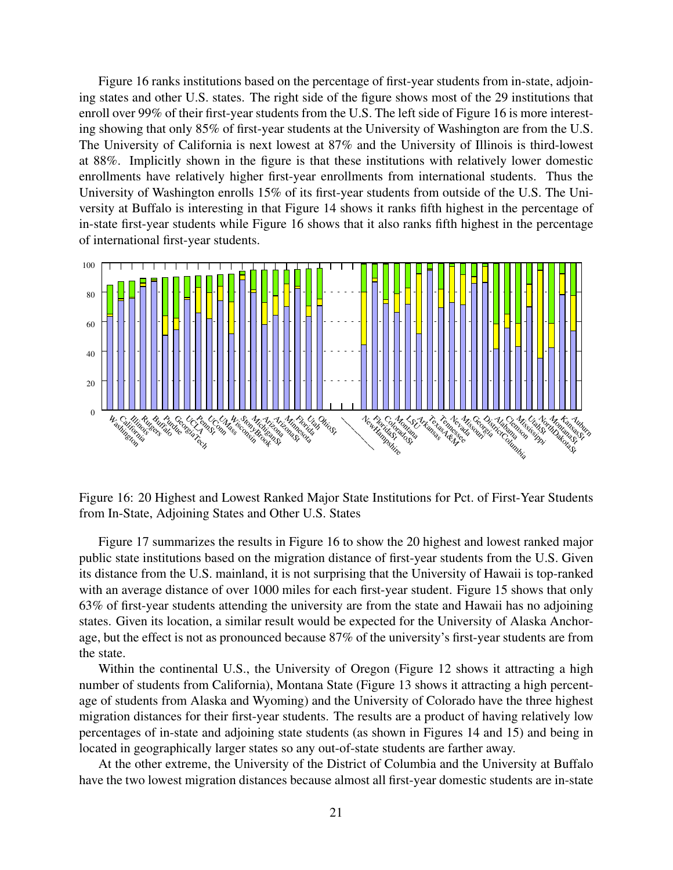Figure 16 ranks institutions based on the percentage of first-year students from in-state, adjoining states and other U.S. states. The right side of the figure shows most of the 29 institutions that enroll over 99% of their first-year students from the U.S. The left side of Figure 16 is more interesting showing that only 85% of first-year students at the University of Washington are from the U.S. The University of California is next lowest at 87% and the University of Illinois is third-lowest at 88%. Implicitly shown in the figure is that these institutions with relatively lower domestic enrollments have relatively higher first-year enrollments from international students. Thus the University of Washington enrolls 15% of its first-year students from outside of the U.S. The University at Buffalo is interesting in that Figure 14 shows it ranks fifth highest in the percentage of in-state first-year students while Figure 16 shows that it also ranks fifth highest in the percentage of international first-year students.



Figure 16: 20 Highest and Lowest Ranked Major State Institutions for Pct. of First-Year Students from In-State, Adjoining States and Other U.S. States

Figure 17 summarizes the results in Figure 16 to show the 20 highest and lowest ranked major public state institutions based on the migration distance of first-year students from the U.S. Given its distance from the U.S. mainland, it is not surprising that the University of Hawaii is top-ranked with an average distance of over 1000 miles for each first-year student. Figure 15 shows that only 63% of first-year students attending the university are from the state and Hawaii has no adjoining states. Given its location, a similar result would be expected for the University of Alaska Anchorage, but the effect is not as pronounced because 87% of the university's first-year students are from the state.

Within the continental U.S., the University of Oregon (Figure 12 shows it attracting a high number of students from California), Montana State (Figure 13 shows it attracting a high percentage of students from Alaska and Wyoming) and the University of Colorado have the three highest migration distances for their first-year students. The results are a product of having relatively low percentages of in-state and adjoining state students (as shown in Figures 14 and 15) and being in located in geographically larger states so any out-of-state students are farther away.

At the other extreme, the University of the District of Columbia and the University at Buffalo have the two lowest migration distances because almost all first-year domestic students are in-state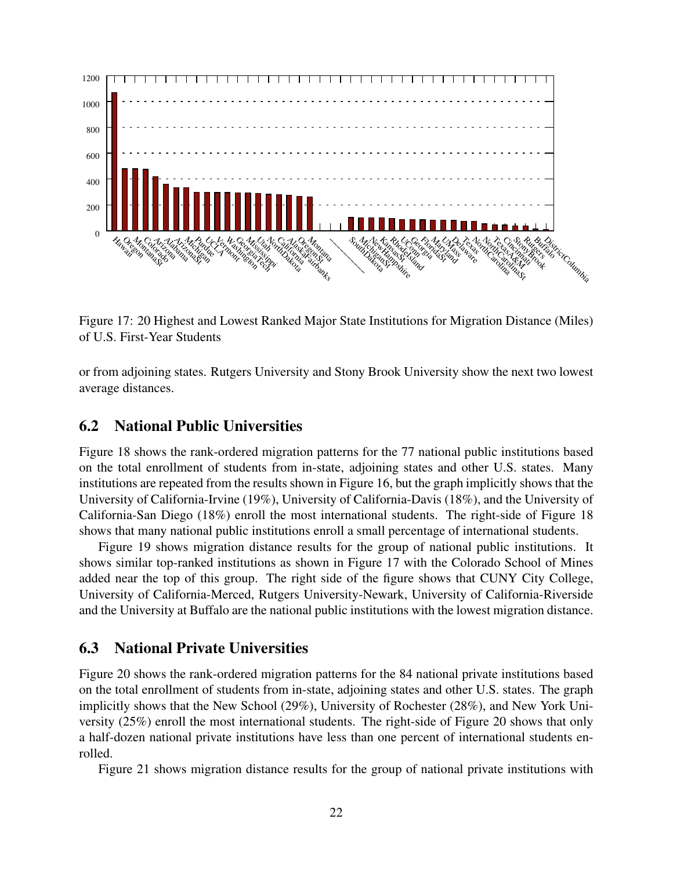

Figure 17: 20 Highest and Lowest Ranked Major State Institutions for Migration Distance (Miles) of U.S. First-Year Students

or from adjoining states. Rutgers University and Stony Brook University show the next two lowest average distances.

### 6.2 National Public Universities

Figure 18 shows the rank-ordered migration patterns for the 77 national public institutions based on the total enrollment of students from in-state, adjoining states and other U.S. states. Many institutions are repeated from the results shown in Figure 16, but the graph implicitly shows that the University of California-Irvine (19%), University of California-Davis (18%), and the University of California-San Diego (18%) enroll the most international students. The right-side of Figure 18 shows that many national public institutions enroll a small percentage of international students.

Figure 19 shows migration distance results for the group of national public institutions. It shows similar top-ranked institutions as shown in Figure 17 with the Colorado School of Mines added near the top of this group. The right side of the figure shows that CUNY City College, University of California-Merced, Rutgers University-Newark, University of California-Riverside and the University at Buffalo are the national public institutions with the lowest migration distance.

### 6.3 National Private Universities

Figure 20 shows the rank-ordered migration patterns for the 84 national private institutions based on the total enrollment of students from in-state, adjoining states and other U.S. states. The graph implicitly shows that the New School (29%), University of Rochester (28%), and New York University (25%) enroll the most international students. The right-side of Figure 20 shows that only a half-dozen national private institutions have less than one percent of international students enrolled.

Figure 21 shows migration distance results for the group of national private institutions with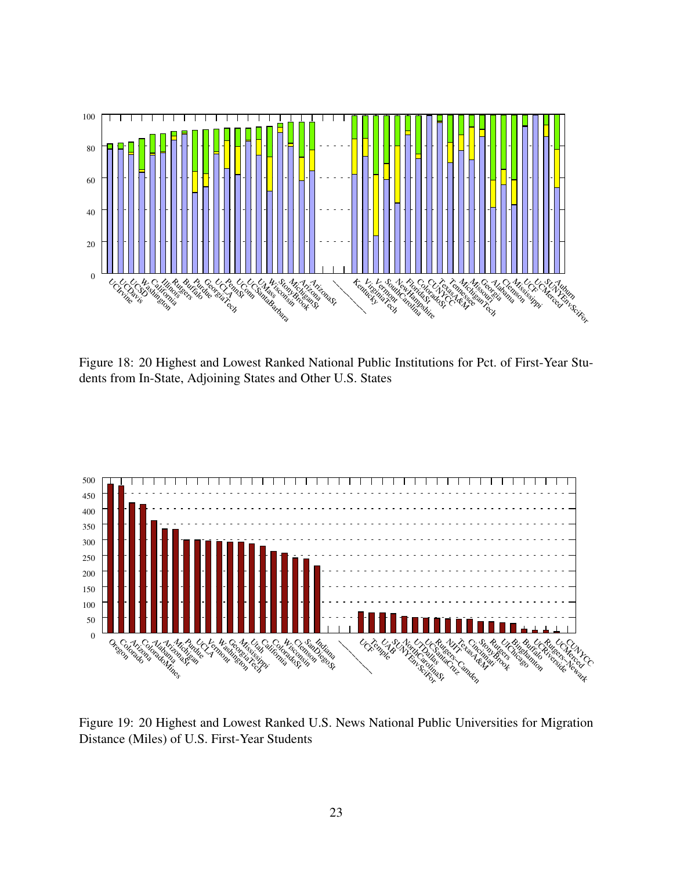

Figure 18: 20 Highest and Lowest Ranked National Public Institutions for Pct. of First-Year Students from In-State, Adjoining States and Other U.S. States



Figure 19: 20 Highest and Lowest Ranked U.S. News National Public Universities for Migration Distance (Miles) of U.S. First-Year Students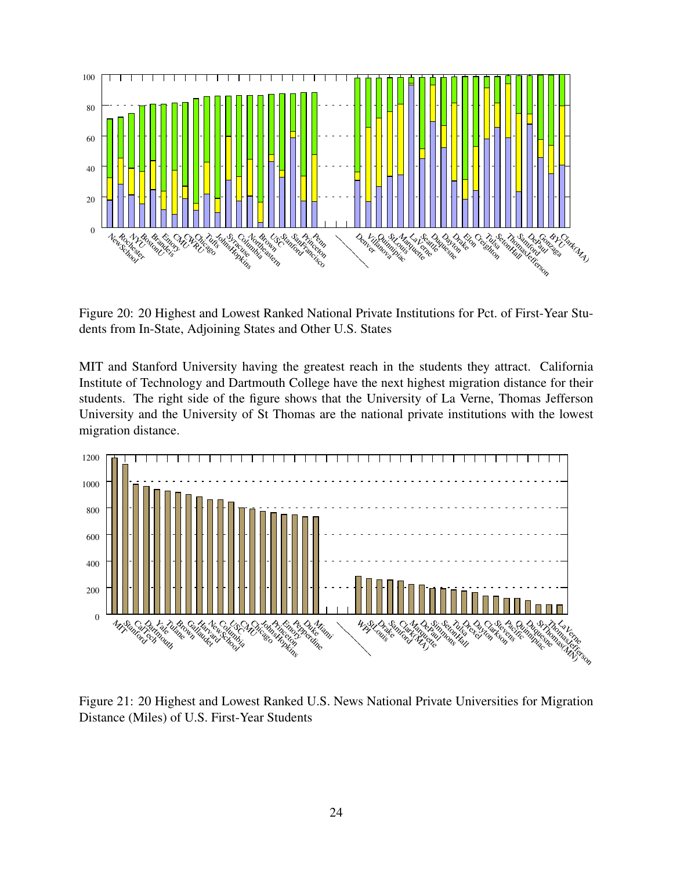

Figure 20: 20 Highest and Lowest Ranked National Private Institutions for Pct. of First-Year Students from In-State, Adjoining States and Other U.S. States

MIT and Stanford University having the greatest reach in the students they attract. California Institute of Technology and Dartmouth College have the next highest migration distance for their students. The right side of the figure shows that the University of La Verne, Thomas Jefferson University and the University of St Thomas are the national private institutions with the lowest migration distance.



Figure 21: 20 Highest and Lowest Ranked U.S. News National Private Universities for Migration Distance (Miles) of U.S. First-Year Students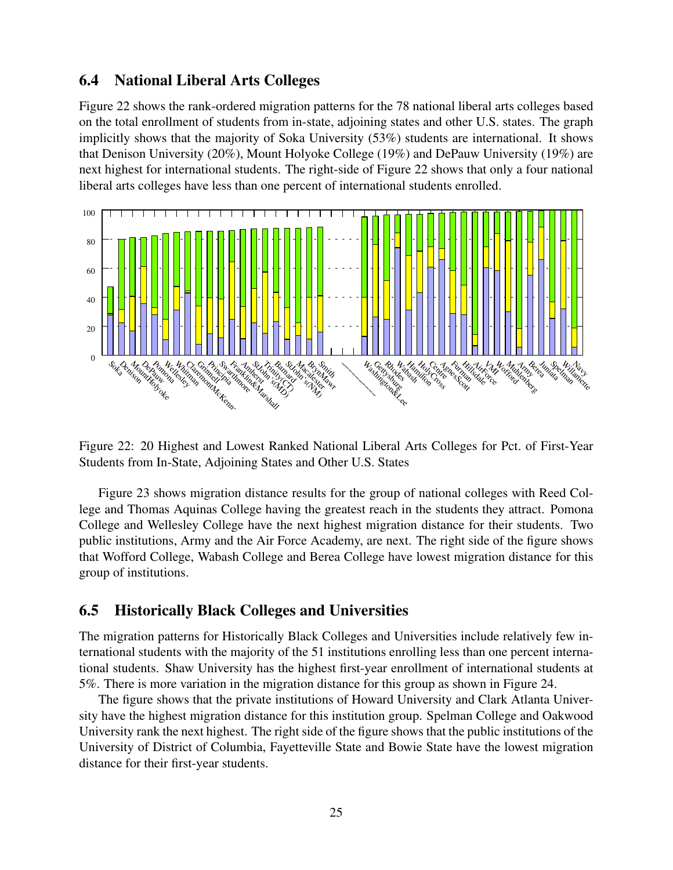### 6.4 National Liberal Arts Colleges

Figure 22 shows the rank-ordered migration patterns for the 78 national liberal arts colleges based on the total enrollment of students from in-state, adjoining states and other U.S. states. The graph implicitly shows that the majority of Soka University (53%) students are international. It shows that Denison University (20%), Mount Holyoke College (19%) and DePauw University (19%) are next highest for international students. The right-side of Figure 22 shows that only a four national liberal arts colleges have less than one percent of international students enrolled.



Figure 22: 20 Highest and Lowest Ranked National Liberal Arts Colleges for Pct. of First-Year Students from In-State, Adjoining States and Other U.S. States

Figure 23 shows migration distance results for the group of national colleges with Reed College and Thomas Aquinas College having the greatest reach in the students they attract. Pomona College and Wellesley College have the next highest migration distance for their students. Two public institutions, Army and the Air Force Academy, are next. The right side of the figure shows that Wofford College, Wabash College and Berea College have lowest migration distance for this group of institutions.

### 6.5 Historically Black Colleges and Universities

The migration patterns for Historically Black Colleges and Universities include relatively few international students with the majority of the 51 institutions enrolling less than one percent international students. Shaw University has the highest first-year enrollment of international students at 5%. There is more variation in the migration distance for this group as shown in Figure 24.

The figure shows that the private institutions of Howard University and Clark Atlanta University have the highest migration distance for this institution group. Spelman College and Oakwood University rank the next highest. The right side of the figure shows that the public institutions of the University of District of Columbia, Fayetteville State and Bowie State have the lowest migration distance for their first-year students.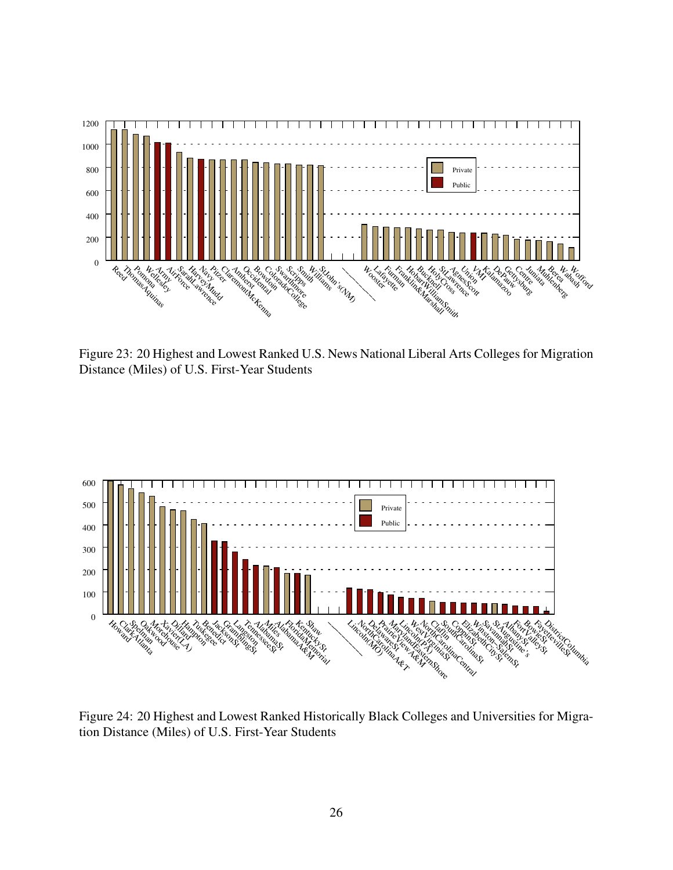

Figure 23: 20 Highest and Lowest Ranked U.S. News National Liberal Arts Colleges for Migration Distance (Miles) of U.S. First-Year Students



Figure 24: 20 Highest and Lowest Ranked Historically Black Colleges and Universities for Migration Distance (Miles) of U.S. First-Year Students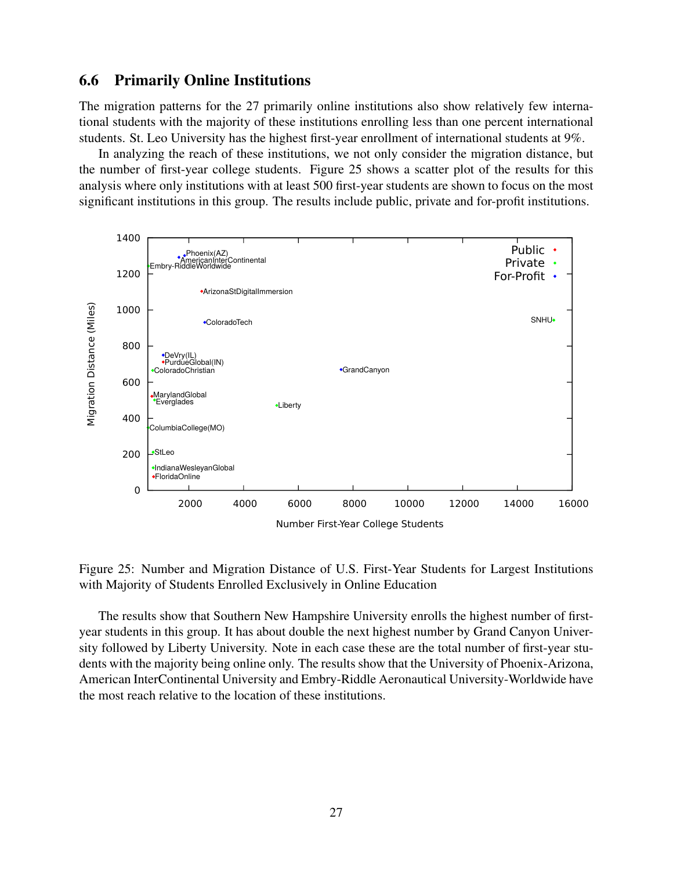### 6.6 Primarily Online Institutions

The migration patterns for the 27 primarily online institutions also show relatively few international students with the majority of these institutions enrolling less than one percent international students. St. Leo University has the highest first-year enrollment of international students at 9%.

In analyzing the reach of these institutions, we not only consider the migration distance, but the number of first-year college students. Figure 25 shows a scatter plot of the results for this analysis where only institutions with at least 500 first-year students are shown to focus on the most significant institutions in this group. The results include public, private and for-profit institutions.



Figure 25: Number and Migration Distance of U.S. First-Year Students for Largest Institutions with Majority of Students Enrolled Exclusively in Online Education

The results show that Southern New Hampshire University enrolls the highest number of firstyear students in this group. It has about double the next highest number by Grand Canyon University followed by Liberty University. Note in each case these are the total number of first-year students with the majority being online only. The results show that the University of Phoenix-Arizona, American InterContinental University and Embry-Riddle Aeronautical University-Worldwide have the most reach relative to the location of these institutions.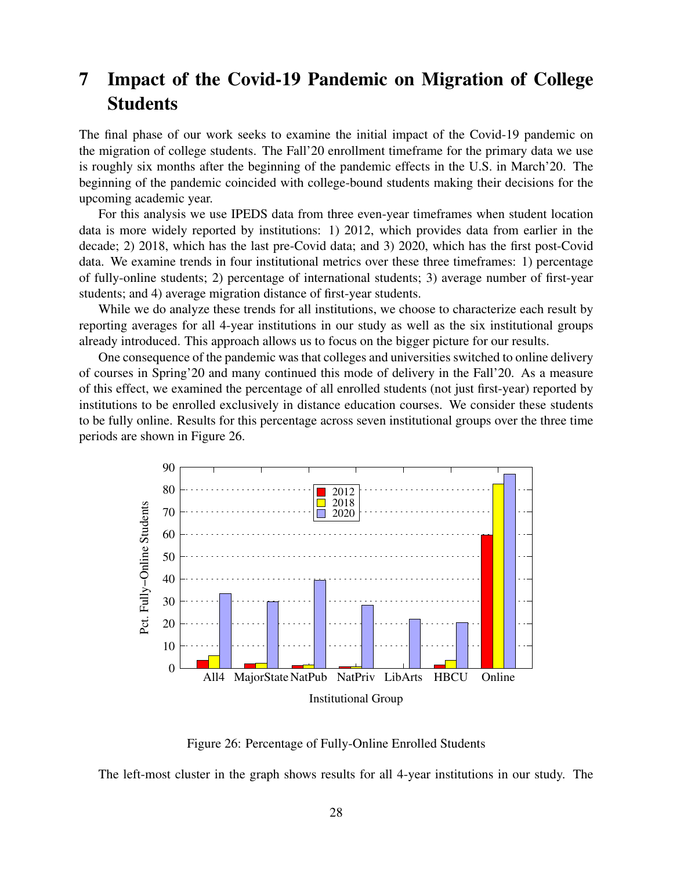## 7 Impact of the Covid-19 Pandemic on Migration of College **Students**

The final phase of our work seeks to examine the initial impact of the Covid-19 pandemic on the migration of college students. The Fall'20 enrollment timeframe for the primary data we use is roughly six months after the beginning of the pandemic effects in the U.S. in March'20. The beginning of the pandemic coincided with college-bound students making their decisions for the upcoming academic year.

For this analysis we use IPEDS data from three even-year timeframes when student location data is more widely reported by institutions: 1) 2012, which provides data from earlier in the decade; 2) 2018, which has the last pre-Covid data; and 3) 2020, which has the first post-Covid data. We examine trends in four institutional metrics over these three timeframes: 1) percentage of fully-online students; 2) percentage of international students; 3) average number of first-year students; and 4) average migration distance of first-year students.

While we do analyze these trends for all institutions, we choose to characterize each result by reporting averages for all 4-year institutions in our study as well as the six institutional groups already introduced. This approach allows us to focus on the bigger picture for our results.

One consequence of the pandemic was that colleges and universities switched to online delivery of courses in Spring'20 and many continued this mode of delivery in the Fall'20. As a measure of this effect, we examined the percentage of all enrolled students (not just first-year) reported by institutions to be enrolled exclusively in distance education courses. We consider these students to be fully online. Results for this percentage across seven institutional groups over the three time periods are shown in Figure 26.



Figure 26: Percentage of Fully-Online Enrolled Students

The left-most cluster in the graph shows results for all 4-year institutions in our study. The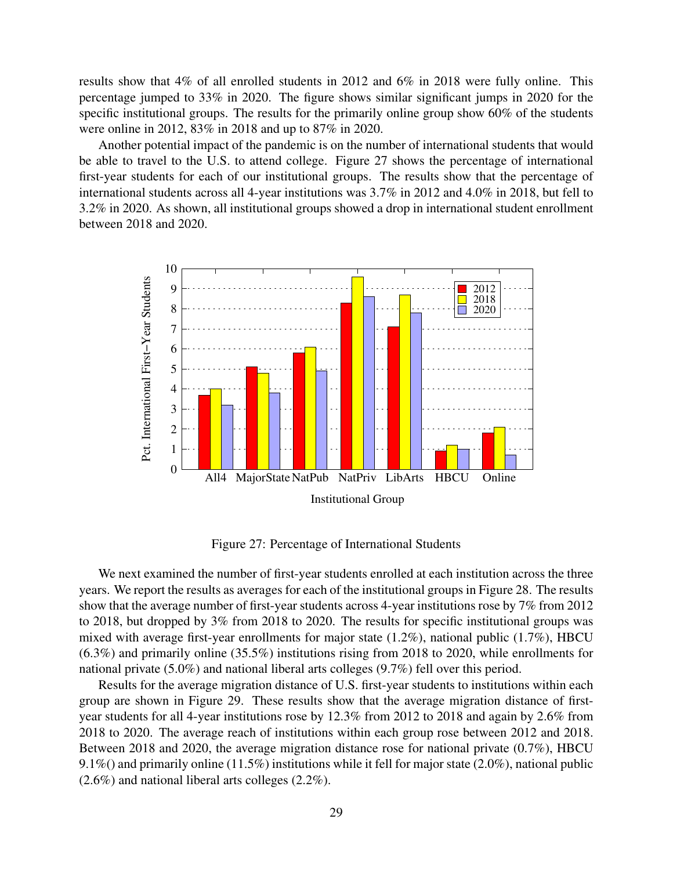results show that 4% of all enrolled students in 2012 and 6% in 2018 were fully online. This percentage jumped to 33% in 2020. The figure shows similar significant jumps in 2020 for the specific institutional groups. The results for the primarily online group show 60% of the students were online in 2012, 83% in 2018 and up to 87% in 2020.

Another potential impact of the pandemic is on the number of international students that would be able to travel to the U.S. to attend college. Figure 27 shows the percentage of international first-year students for each of our institutional groups. The results show that the percentage of international students across all 4-year institutions was 3.7% in 2012 and 4.0% in 2018, but fell to 3.2% in 2020. As shown, all institutional groups showed a drop in international student enrollment between 2018 and 2020.



Figure 27: Percentage of International Students

We next examined the number of first-year students enrolled at each institution across the three years. We report the results as averages for each of the institutional groups in Figure 28. The results show that the average number of first-year students across 4-year institutions rose by 7% from 2012 to 2018, but dropped by 3% from 2018 to 2020. The results for specific institutional groups was mixed with average first-year enrollments for major state (1.2%), national public (1.7%), HBCU (6.3%) and primarily online (35.5%) institutions rising from 2018 to 2020, while enrollments for national private (5.0%) and national liberal arts colleges (9.7%) fell over this period.

Results for the average migration distance of U.S. first-year students to institutions within each group are shown in Figure 29. These results show that the average migration distance of firstyear students for all 4-year institutions rose by 12.3% from 2012 to 2018 and again by 2.6% from 2018 to 2020. The average reach of institutions within each group rose between 2012 and 2018. Between 2018 and 2020, the average migration distance rose for national private (0.7%), HBCU 9.1%() and primarily online (11.5%) institutions while it fell for major state (2.0%), national public (2.6%) and national liberal arts colleges (2.2%).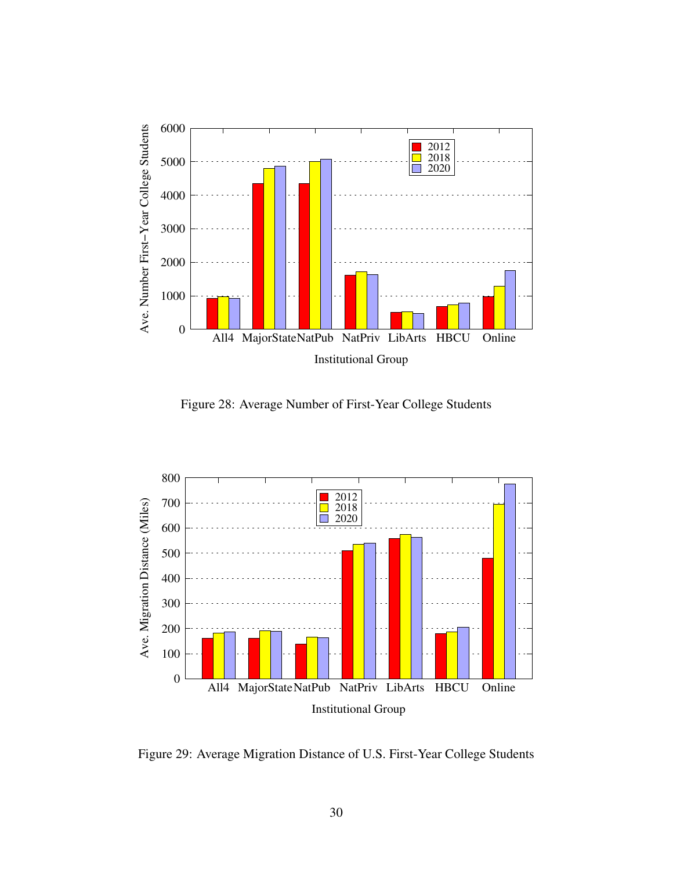

Figure 28: Average Number of First-Year College Students



Figure 29: Average Migration Distance of U.S. First-Year College Students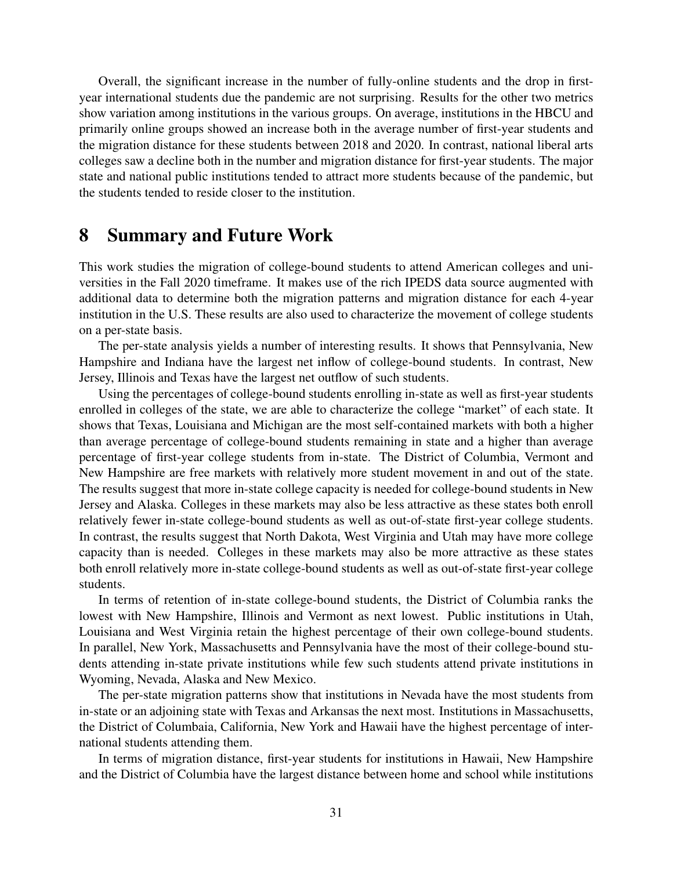Overall, the significant increase in the number of fully-online students and the drop in firstyear international students due the pandemic are not surprising. Results for the other two metrics show variation among institutions in the various groups. On average, institutions in the HBCU and primarily online groups showed an increase both in the average number of first-year students and the migration distance for these students between 2018 and 2020. In contrast, national liberal arts colleges saw a decline both in the number and migration distance for first-year students. The major state and national public institutions tended to attract more students because of the pandemic, but the students tended to reside closer to the institution.

### 8 Summary and Future Work

This work studies the migration of college-bound students to attend American colleges and universities in the Fall 2020 timeframe. It makes use of the rich IPEDS data source augmented with additional data to determine both the migration patterns and migration distance for each 4-year institution in the U.S. These results are also used to characterize the movement of college students on a per-state basis.

The per-state analysis yields a number of interesting results. It shows that Pennsylvania, New Hampshire and Indiana have the largest net inflow of college-bound students. In contrast, New Jersey, Illinois and Texas have the largest net outflow of such students.

Using the percentages of college-bound students enrolling in-state as well as first-year students enrolled in colleges of the state, we are able to characterize the college "market" of each state. It shows that Texas, Louisiana and Michigan are the most self-contained markets with both a higher than average percentage of college-bound students remaining in state and a higher than average percentage of first-year college students from in-state. The District of Columbia, Vermont and New Hampshire are free markets with relatively more student movement in and out of the state. The results suggest that more in-state college capacity is needed for college-bound students in New Jersey and Alaska. Colleges in these markets may also be less attractive as these states both enroll relatively fewer in-state college-bound students as well as out-of-state first-year college students. In contrast, the results suggest that North Dakota, West Virginia and Utah may have more college capacity than is needed. Colleges in these markets may also be more attractive as these states both enroll relatively more in-state college-bound students as well as out-of-state first-year college students.

In terms of retention of in-state college-bound students, the District of Columbia ranks the lowest with New Hampshire, Illinois and Vermont as next lowest. Public institutions in Utah, Louisiana and West Virginia retain the highest percentage of their own college-bound students. In parallel, New York, Massachusetts and Pennsylvania have the most of their college-bound students attending in-state private institutions while few such students attend private institutions in Wyoming, Nevada, Alaska and New Mexico.

The per-state migration patterns show that institutions in Nevada have the most students from in-state or an adjoining state with Texas and Arkansas the next most. Institutions in Massachusetts, the District of Columbaia, California, New York and Hawaii have the highest percentage of international students attending them.

In terms of migration distance, first-year students for institutions in Hawaii, New Hampshire and the District of Columbia have the largest distance between home and school while institutions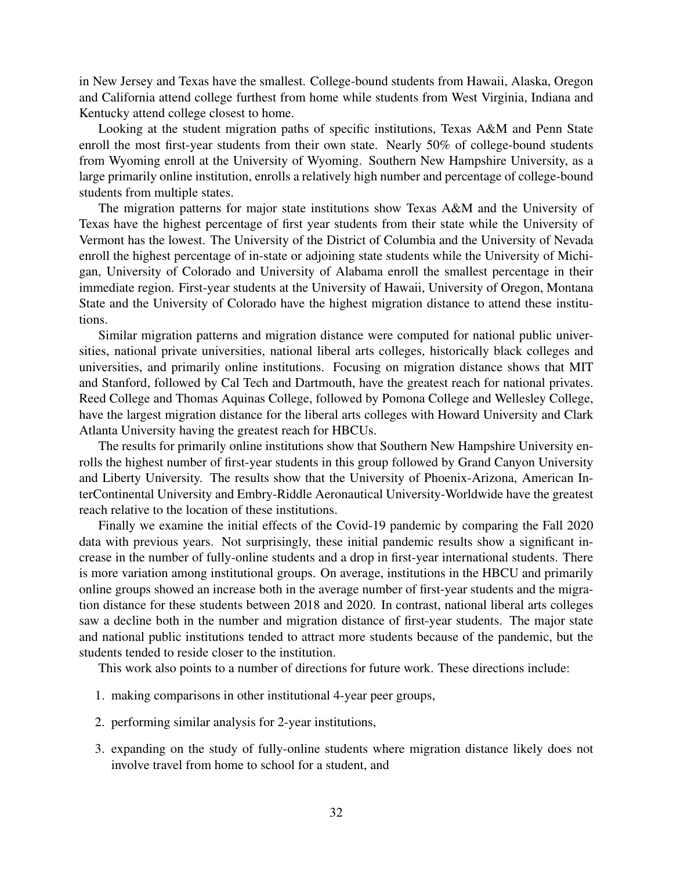in New Jersey and Texas have the smallest. College-bound students from Hawaii, Alaska, Oregon and California attend college furthest from home while students from West Virginia, Indiana and Kentucky attend college closest to home.

Looking at the student migration paths of specific institutions, Texas A&M and Penn State enroll the most first-year students from their own state. Nearly 50% of college-bound students from Wyoming enroll at the University of Wyoming. Southern New Hampshire University, as a large primarily online institution, enrolls a relatively high number and percentage of college-bound students from multiple states.

The migration patterns for major state institutions show Texas A&M and the University of Texas have the highest percentage of first year students from their state while the University of Vermont has the lowest. The University of the District of Columbia and the University of Nevada enroll the highest percentage of in-state or adjoining state students while the University of Michigan, University of Colorado and University of Alabama enroll the smallest percentage in their immediate region. First-year students at the University of Hawaii, University of Oregon, Montana State and the University of Colorado have the highest migration distance to attend these institutions.

Similar migration patterns and migration distance were computed for national public universities, national private universities, national liberal arts colleges, historically black colleges and universities, and primarily online institutions. Focusing on migration distance shows that MIT and Stanford, followed by Cal Tech and Dartmouth, have the greatest reach for national privates. Reed College and Thomas Aquinas College, followed by Pomona College and Wellesley College, have the largest migration distance for the liberal arts colleges with Howard University and Clark Atlanta University having the greatest reach for HBCUs.

The results for primarily online institutions show that Southern New Hampshire University enrolls the highest number of first-year students in this group followed by Grand Canyon University and Liberty University. The results show that the University of Phoenix-Arizona, American InterContinental University and Embry-Riddle Aeronautical University-Worldwide have the greatest reach relative to the location of these institutions.

Finally we examine the initial effects of the Covid-19 pandemic by comparing the Fall 2020 data with previous years. Not surprisingly, these initial pandemic results show a significant increase in the number of fully-online students and a drop in first-year international students. There is more variation among institutional groups. On average, institutions in the HBCU and primarily online groups showed an increase both in the average number of first-year students and the migration distance for these students between 2018 and 2020. In contrast, national liberal arts colleges saw a decline both in the number and migration distance of first-year students. The major state and national public institutions tended to attract more students because of the pandemic, but the students tended to reside closer to the institution.

This work also points to a number of directions for future work. These directions include:

- 1. making comparisons in other institutional 4-year peer groups,
- 2. performing similar analysis for 2-year institutions,
- 3. expanding on the study of fully-online students where migration distance likely does not involve travel from home to school for a student, and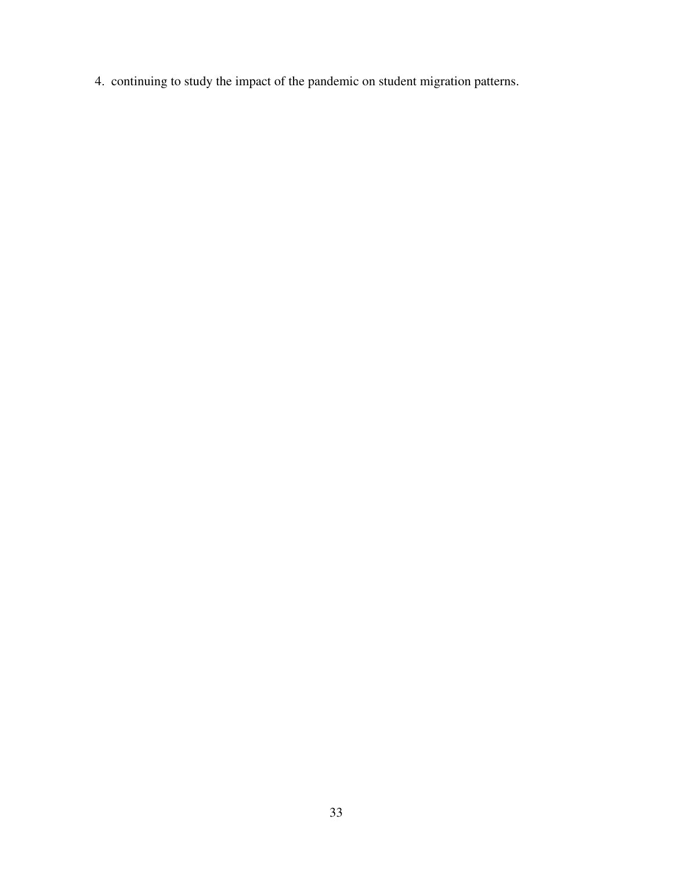4. continuing to study the impact of the pandemic on student migration patterns.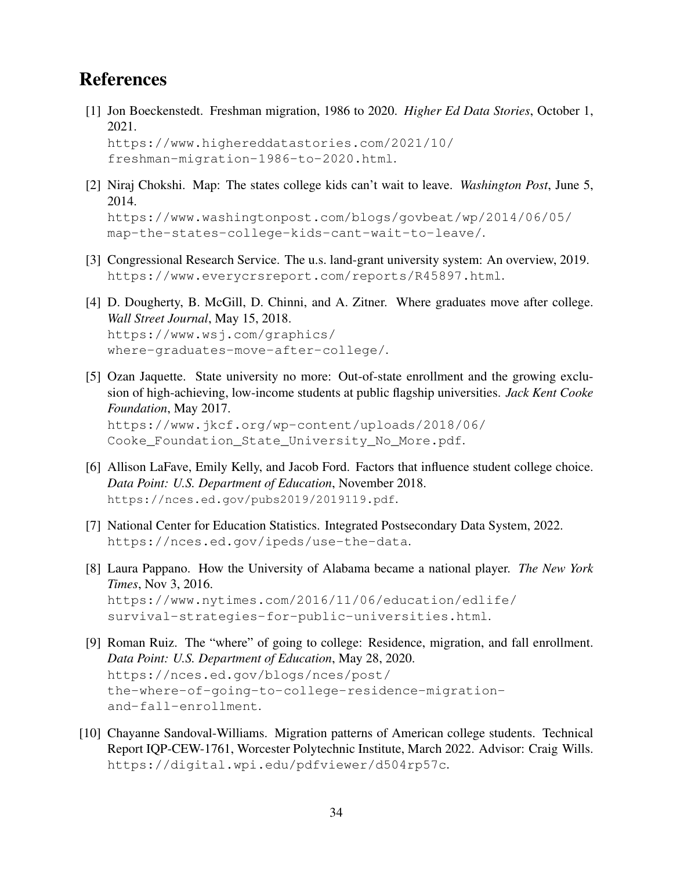## References

[1] Jon Boeckenstedt. Freshman migration, 1986 to 2020. *Higher Ed Data Stories*, October 1, 2021.

```
https://www.highereddatastories.com/2021/10/
freshman-migration-1986-to-2020.html.
```
[2] Niraj Chokshi. Map: The states college kids can't wait to leave. *Washington Post*, June 5, 2014.

```
https://www.washingtonpost.com/blogs/govbeat/wp/2014/06/05/
map-the-states-college-kids-cant-wait-to-leave/.
```
- [3] Congressional Research Service. The u.s. land-grant university system: An overview, 2019. https://www.everycrsreport.com/reports/R45897.html.
- [4] D. Dougherty, B. McGill, D. Chinni, and A. Zitner. Where graduates move after college. *Wall Street Journal*, May 15, 2018. https://www.wsj.com/graphics/ where-graduates-move-after-college/.
- [5] Ozan Jaquette. State university no more: Out-of-state enrollment and the growing exclusion of high-achieving, low-income students at public flagship universities. *Jack Kent Cooke Foundation*, May 2017. https://www.jkcf.org/wp-content/uploads/2018/06/

Cooke\_Foundation\_State\_University\_No\_More.pdf.

- [6] Allison LaFave, Emily Kelly, and Jacob Ford. Factors that influence student college choice. *Data Point: U.S. Department of Education*, November 2018. https://nces.ed.gov/pubs2019/2019119.pdf.
- [7] National Center for Education Statistics. Integrated Postsecondary Data System, 2022. https://nces.ed.gov/ipeds/use-the-data.
- [8] Laura Pappano. How the University of Alabama became a national player. *The New York Times*, Nov 3, 2016. https://www.nytimes.com/2016/11/06/education/edlife/

```
survival-strategies-for-public-universities.html.
```
- [9] Roman Ruiz. The "where" of going to college: Residence, migration, and fall enrollment. *Data Point: U.S. Department of Education*, May 28, 2020. https://nces.ed.gov/blogs/nces/post/ the-where-of-going-to-college-residence-migrationand-fall-enrollment.
- [10] Chayanne Sandoval-Williams. Migration patterns of American college students. Technical Report IQP-CEW-1761, Worcester Polytechnic Institute, March 2022. Advisor: Craig Wills. https://digital.wpi.edu/pdfviewer/d504rp57c.